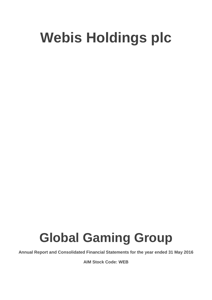# **Global Gaming Group**

**Annual Report and Consolidated Financial Statements for the year ended 31 May 2016**

**AIM Stock Code: WEB**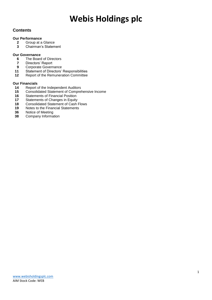### **Contents**

### **Our Performance**

- **2** Group at a Glance<br>**3** Chairman's Statem
- **3** Chairman's Statement

### **Our Governance**

- **6** The Board of Directors
- **7** Directors' Report
- **9** Corporate Governance
- **11** Statement of Directors' Responsibilities
- **12** Report of the Remuneration Committee

### **Our Financials**

- 14 Report of the Independent Auditors<br>**15** Consolidated Statement of Comprel
- 15 Consolidated Statement of Comprehensive Income<br>16 Statements of Financial Position
- **Statements of Financial Position**
- **17** Statements of Changes in Equity
- **18** Consolidated Statement of Cash Flows
- **19** Notes to the Financial Statements
- **36** Notice of Meeting
- **38** Company Information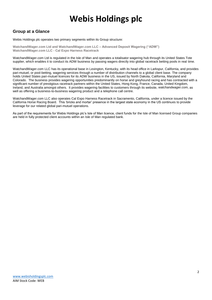### **Group at a Glance**

Webis Holdings plc operates two primary segments within its Group structure:

**WatchandWager.com Ltd and WatchandWager.com LLC – Advanced Deposit Wagering ("ADW") WatchandWager.com LLC - Cal Expo Harness Racetrack**

WatchandWager.com Ltd is regulated in the Isle of Man and operates a totalisator wagering hub through its United States Tote supplier, which enables it to conduct its ADW business by passing wagers directly into global racetrack betting pools in real time.

WatchandWager.com LLC has its operational base in Lexington, Kentucky, with its head office in Larkspur, California, and provides pari-mutuel, or pool-betting, wagering services through a number of distribution channels to a global client base. The company holds United States pari-mutuel licences for its ADW business in the US, issued by North Dakota, California, Maryland and Colorado. The business provides wagering opportunities predominantly on horse and greyhound racing and has contracted with a significant number of prestigious racetrack partners within the United States, Hong Kong, France, Canada, United Kingdom, Ireland, and Australia amongst others. It provides wagering facilities to customers through its website, *watchandwager.com*, as well as offering a business-to-business wagering product and a telephone call centre.

WatchandWager.com LLC also operates Cal Expo Harness Racetrack in Sacramento, California, under a licence issued by the California Horse Racing Board. This 'bricks and mortar' presence in the largest state economy in the US continues to provide leverage for our related global pari-mutuel operations.

As part of the requirements for Webis Holdings plc's Isle of Man licence, client funds for the Isle of Man licensed Group companies are held in fully protected client accounts within an Isle of Man regulated bank.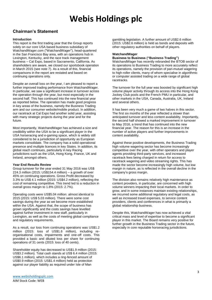### **Chairman's Statement**

#### **Introduction**

This report is the first trading year that the Group reports solely on our core USA based business subsidiary of WatchandWager.com ("WatchandWager"), head-quartered in the San Francisco Bay area, with an operations hub in Lexington, Kentucky, and the race track management business – Cal Expo, based in Sacramento, California. As shareholders are aware, we closed our sportsbook operation in March 2015 (see note 7). As a result of this, financial comparisons in the report are restated and based on continuing operations only.

Despite an overall loss on the year, I am pleased to report a further improved trading performance from WatchandWager. In particular, we saw a significant increase in turnover across the operation through the year, but most especially in the second half. This has continued into the new financial year as reported below. The operation has made good progress in key areas of the business, namely the Business Trading arm and our consumer website/mobile product. In addition, our racetrack at Cal Expo had another solid year, assisting with many strategic projects during the year and for the future.

Most importantly, WatchandWager has achieved a size and credibility within the USA to be a significant player in the USA horseracing and e-gaming space, which is widely still considered to be a jurisdiction of opportunity as European markets consolidate. The company has a solid operational presence and multiple licences in key States. In addition, its global reach continues, particularly in key Racing jurisdictions such as the USA, Hong Kong, France, UK and Ireland, amongst others.

#### **Year End Results Review**

Group turnover for the year ended 31 May 2016 was US\$ 224.3 million (2015: US\$154.4 million) – a growth of over 45% on continuing operations. Gross Profit decreased by 3.3% to US\$ 4.1 million (2015: US\$4.2 million), reflecting the cost of remaining competitive. This trend led to a reduction in overall gross margin to 1.8% (2015: 2.7%).

Operating costs were US\$5.04 million: almost identical to 2015 (2015: US\$ 5.03 million). There were some cost savings during the year as we become more established within the USA. Against that, the scope of business has grown significantly and the costs savings have levelled against further investment in new staff, particularly in Lexington, as well as the costs of meeting global compliance and regulatory requirements.

As a result, our loss from continuing operations was US\$1.2 million (2015: loss of US\$1.6 million), including reorganisational costs, impairments and one-off costs. This provided a basic and diluted loss per share for continuing operations of 31 cents (2015: loss of 40 cents).

Shareholder equity has decreased to US\$1.9 million (2015: US\$3.2 million). Total cash stands at US\$ 6.4 million (2015: US\$6.1 million), which includes a ring-fenced amount of US\$0.9 million (2015: US\$1.4 million) held as protection against our player liability as required under Isle of Man

gambling legislation. A further amount of US\$2.6 million (2015: US\$2.6 million) is held as bonds and deposits with other regulatory authorities on behalf of players.

#### **WatchandWager Business to Business ("Business Trading")**

WatchandWager has recently rebranded the BTOB sector of its operations to Business Trading to more accurately reflect its operations, namely the provision of pari-mutuel wagering to high-roller clients, many of whom specialise in algorithmic or computer assisted trading on a wide range of global racetracks.

The turnover for the full year was boosted by significant high volume player activity through its access into the Hong Kong Jockey Club pools and the French PMU in particular, and other markets in the USA, Canada, Australia, UK, Ireland and several others.

It has been very much a game of two halves in this sector. The first six months of the year reflected a slower than anticipated turnover and less content availability. Importantly, the second half showed a marked improvement in turnover to May 2016, a trend that has continued into the new financial year. The reason for this is an increase in the number of active players and further improvements in content availability.

Against these positive developments, the Business Trading high volume wagering sector has become increasingly competitive over the year, with other operators and player agents providing third-party services, and increased racetrack fees being charged in return for access to racetrack wagering and video streaming rights. This has made the sector become increasingly high volume, but low margin in nature, as is reflected in the overall decline in the company's gross margin.

The division also remains relatively high maintenance as content providers, in particular, are concerned with high volume winners impacting their local markets. In order to grow, and in some instances maintain existing relationships, we incurred some additional regulatory and legal costs, as well as increased travel expenses, to service content providers, clients and conferences in what is primarily a global relationship business.

Despite this, WatchandWager has now achieved a vital critical mass and level of expertise to become a significant player in this market. The Board remains very positive for further growth in the Business Trading sector in the future, especially in core reputable horseracing jurisdictions.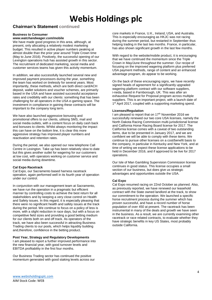### **Chairman's Statement continued**

## **Business to Consumer**

*www.watchandwager.com***/mobile**

We have made good progress in this area, although, at present, only allocating a relatively modest marketing budget. This resulted in active player numbers peaking at almost double than the prior year around Triple Crown time (May to June 2016). Positively, the successful opening of our Lexington operations hub has assisted growth in this sector. The recruitment of dedicated marketing, social media and customer services teams has given this activity momentum.

In addition, we also successfully launched several new and improved payment processors during the year, something the team has worked on tirelessly for several years. Most importantly, these methods, which are both direct card/ACH deposit, wallet solutions and voucher schemes, are primarily based in the USA and have assisted successful acceptance rates and credibility with our clients: something that has been challenging for all operators in the USA e-gaming space. The investment in compliance in gaining these contracts will be important to the company long term.

We have also launched aggressive bonusing and promotional offers to our clients, utilising SMS, mail and social media outlets, with a content focus on daily cash back and bonuses to clients. Whilst always monitoring the impact this can have on the bottom line, it is clear this more aggressive strategy has improved player numbers and reactivation and retention rates.

During the period, we also opened our new telephone Call Centre in Lexington. Take up has been relatively slow to date but this gives another outlet for wagering for our customers at low cost, with operators working on customer service and social media during downtime.

#### **Cal Expo Racetrack**

Cal Expo, our Sacramento based harness racetrack operation, again performed well in its fourth year of operation under our control.

In conjunction with our management team at Sacramento, we have run the operation in a pragmatic but efficient manner by controlling costs to achieve the best return for all stakeholders and by keeping a very close control on Health and Safety issues. In this regard, it is especially pleasing that there were no significant health and safety issues at the track during the period. We continue to focus on a policy of less is more, with a slight reduction in race days, but with a focus on competitive field sizes and providing a good betting medium for our clients both on and off track. As operators of the track, we have also been successful in attracting Business Trading clients to our pools, which helps liquidity building and,therefore, confidence in the betting product.

#### **Post Year, Strategy and Regulatory Developments**

I am pleased to report a further improved performance into the new financial year, with good turnover levels and EBITDA profitability in the first four months.

Our Business Trading sector has continued the positive momentum generated with good staking levels across our core markets in France, U.K., Ireland, USA, and Australia. This is especially encouraging as HKJC was not racing during the summer period, but restarted in September thus helping trading in the last two months. France, in particular, has also shown significant growth in the last few months.

With regard to the website/mobile product, it is encouraging that we have continued the momentum since the Triple Crown in May/June throughout the summer. Our recipe of focusing on the improved wagering platform plus preferred USA payment methods, range of content and an enhanced advantage program, do appear to be working.

On the back of these encouraging signs, we have recently signed heads of agreement for a significantly upgraded wagering platform contract with our software suppliers, i-neda, based in Farnborough, UK. This was after an exhaustive Request for Proposal program across multiple suppliers. This is an important project, with a launch date of 1<sup>st</sup> April 2017, coupled with a supporting marketing spend.

#### **Licenses/Regulation**

I am pleased to report that on 17<sup>th</sup> November 2016 we successfully renewed our two core USA licenses, namely the North Dakota Racing Commission multi-jurisdictional license and California Horse Racing Board license for 2017. The California license comes with a caveat of two outstanding items, due to be presented in January 2017, and we are confident we will be able to comply with these items. We continue to pursue other licenses on a cost/benefit basis to the company, in particular in Kentucky and New York, and at time of writing we expect these license applications to be held in December 2016, and if approved to be live for 2017 operations.

Our Isle of Man Gambling Supervision Commission license continues in good status. This license occupies a small section of our business, but does give us strategic advantages and opportunities outside the USA.

#### **Cal Expo**

Cal Expo resumed racing on 22nd October as planned. Also, as previously reported, we have renewed our leasehold contract with the State owned landlord at the track, to show our commitment to the operation. We launched a specific horse recruitment process during the summer which has proven successful, and have a record number of horse population of over 450 at present. The racetrack has been instrumental in many of the deals and growth we have seen in the business. As a result, we are currently examining other racetrack or race related contracts, to evaluate whether they have strategic benefits in key US States, most probably outside California.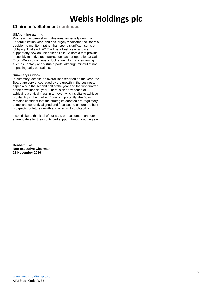## **Chairman's Statement continued**

#### **USA on-line gaming**

Progress has been slow in this area, especially during a Federal election year, and has largely vindicated the Board's decision to monitor it rather than spend significant sums on lobbying. That said, 2017 will be a fresh year, and we support any new on-line poker bills in California that provide a subsidy to active racetracks, such as our operation at Cal Expo. We also continue to look at new forms of e-gaming such as Fantasy and Virtual Sports, although mindful of not impacting daily operations.

#### **Summary Outlook**

In summary, despite an overall loss reported on the year, the Board are very encouraged by the growth in the business, especially in the second half of the year and the first quarter of the new financial year. There is clear evidence of achieving a critical mass in turnover which is vital to achieve profitability in the market. Equally importantly, the Board remains confident that the strategies adopted are regulatory compliant, correctly aligned and focussed to ensure the best prospects for future growth and a return to profitability.

I would like to thank all of our staff, our customers and our shareholders for their continued support throughout the year.

**Denham Eke Non-executive Chairman 28 November 2016**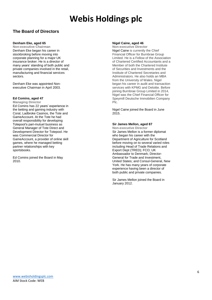### **The Board of Directors**

#### **Denham Eke, aged 65**

**Non-executive Chairman** Denham Eke began his career in stockbroking before moving into corporate planning for a major UK insurance broker. He is a director of many years' standing of both public and private companies involved in the retail, manufacturing and financial services sectors.

Denham Eke was appointed Nonexecutive Chairman in April 2003.

#### **Ed Comins, aged 47**

**Managing Director** Ed Comins has 22 years' experience in the betting and gaming industry with Coral, Ladbroke Casinos, the Tote and GameAccount. At the Tote he had overall responsibility for developing Totepool's pari-mutuel business as General Manager of Tote Direct and Development Director for Totepool. He was Commercial Director for GameAccount, a provider of online skill games, where he managed betting partner relationships with key sportsbooks.

Ed Comins joined the Board in May 2010.

#### **Nigel Caine, aged 46**

**Non-executive Director** Nigel Caine is currently the Chief Financial Officer for Burnbrae Group Limited. He is a Fellow of the Association of Chartered Certified Accountants and a Member of both the Chartered Institute of Securities and Investments and the Institute of Chartered Secretaries and Administrators. He also holds an MBA from the University of Wales. Nigel began his career in audit and transaction services with KPMG and Deloitte. Before joining Burnbrae Group Limited in 2014, Nigel was the Chief Financial Officer for Speymill Deutsche Immobilien Company Plc.

Nigel Caine joined the Board in June 2015.

#### **Sir James Mellon, aged 87**

**Non-executive Director** Sir James Mellon is a former diplomat who began his career with the Department of Agriculture for Scotland before moving on to several varied roles including Head of Trade Relations and Export Dept (TRED); FCO; UK Ambassador to Denmark; Director-General for Trade and Investment, United States; and Consul-General, New York. He has many years of corporate experience having been a director of both public and private companies.

Sir James Mellon joined the Board in January 2012.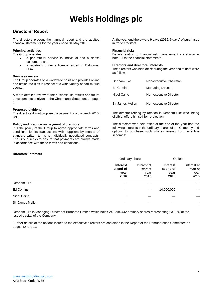### **Directors' Report**

The directors present their annual report and the audited financial statements for the year ended 31 May 2016.

#### **Principal activities**

#### The Group operates:

- a pari-mutuel service to individual and business customers; and
- a racetrack under a licence issued in California, USA.

#### **Business review**

The Group operates on a worldwide basis and provides online and offline facilities in respect of a wide variety of pari-mutuel events.

A more detailed review of the business, its results and future developments is given in the Chairman's Statement on page 3.

#### **Proposed dividend**

The directors do not propose the payment of a dividend (2015: \$Nil).

#### **Policy and practice on payment of creditors**

It is the policy of the Group to agree appropriate terms and conditions for its transactions with suppliers by means of standard written terms to individually negotiated contracts. The Group seeks to ensure that payments are always made in accordance with these terms and conditions.

At the year end there were 9 days (2015: 6 days) of purchases in trade creditors.

#### **Financial risks**

Details relating to financial risk management are shown in note 21 to the financial statements.

#### **Directors and directors' interests**

The directors who held office during the year and to date were as follows:

| Denham Eke       | Non-executive Chairman   |
|------------------|--------------------------|
| Ed Comins        | <b>Managing Director</b> |
| Nigel Caine      | Non-executive Director   |
| Sir James Mellon | Non-executive Director   |

The director retiring by rotation is Denham Eke who, being eligible, offers himself for re-election.

The directors who held office at the end of the year had the following interests in the ordinary shares of the Company and options to purchase such shares arising from incentive schemes:

#### **Directors' interests**

|                  |                                              | Ordinary shares                         |                                              | Options                                 |  |
|------------------|----------------------------------------------|-----------------------------------------|----------------------------------------------|-----------------------------------------|--|
|                  | <b>Interest</b><br>at end of<br>year<br>2016 | Interest at<br>start of<br>year<br>2015 | <b>Interest</b><br>at end of<br>year<br>2016 | Interest at<br>start of<br>year<br>2015 |  |
| Denham Eke       |                                              |                                         |                                              |                                         |  |
| Ed Comins        |                                              |                                         | 14,000,000                                   |                                         |  |
| Nigel Caine      |                                              |                                         |                                              |                                         |  |
| Sir James Mellon |                                              |                                         |                                              |                                         |  |

Denham Eke is Managing Director of Burnbrae Limited which holds 248,204,442 ordinary shares representing 63.10% of the issued capital of the Company.

Further details of the options issued to the executive directors are contained in the Report of the Remuneration Committee on pages 12 and 13.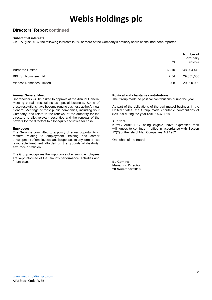### **Directors' Report continued**

#### **Substantial interests**

On 1 August 2016, the following interests in 3% or more of the Company's ordinary share capital had been reported:

|                            | %     | <b>Number of</b><br>ordinary<br>shares |
|----------------------------|-------|----------------------------------------|
| <b>Burnbrae Limited</b>    | 63.10 | 248,204,442                            |
| <b>BBHISL Nominees Ltd</b> | 7.54  | 29,651,666                             |
| Vidacos Nominees Limited   | 5.08  | 20,000,000                             |

#### **Annual General Meeting**

Shareholders will be asked to approve at the Annual General Meeting certain resolutions as special business. Some of these resolutions have become routine business at the Annual General Meetings of most public companies, including your Company, and relate to the renewal of the authority for the directors to allot relevant securities and the renewal of the powers for the directors to allot equity securities for cash.

#### **Employees**

The Group is committed to a policy of equal opportunity in matters relating to employment, training and career development of employees, and is opposed to any form of less favourable treatment afforded on the grounds of disability, sex, race or religion.

The Group recognises the importance of ensuring employees are kept informed of the Group's performance, activities and future plans.

#### **Political and charitable contributions**

The Group made no political contributions during the year.

As part of the obligations of the pari-mutuel business in the United States, the Group made charitable contributions of \$29,899 during the year (2015: \$37,179).

#### **Auditors**

KPMG Audit LLC, being eligible, have expressed their willingness to continue in office in accordance with Section 12(2) of the Isle of Man Companies Act 1982.

On behalf of the Board

**Ed Comins Managing Director 28 November 2016**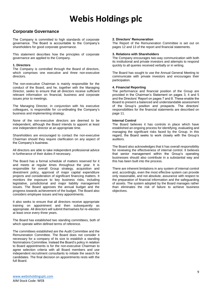### **Corporate Governance**

The Company is committed to high standards of corporate governance. The Board is accountable to the Company's shareholders for good corporate governance.

This statement describes how the principles of corporate governance are applied to the Company.

#### **1. Directors**

The Company is controlled through the Board of directors, which comprises one executive and three non-executive directors.

The non-executive Chairman is mainly responsible for the conduct of the Board, and he, together with the Managing Director, seeks to ensure that all directors receive sufficient relevant information on financial, business and corporate issues prior to meetings.

The Managing Director, in conjunction with his executive colleagues, is responsible for co-ordinating the Company's business and implementing strategy.

None of the non-executive directors are deemed to be independent, although the Board intends to appoint at least one independent director at an appropriate time.

Shareholders are encouraged to contact the non-executive Chairman should they require clarification on any aspect of the Company's business.

All directors are able to take independent professional advice in furtherance of their duties if necessary.

The Board has a formal schedule of matters reserved for it and meets at regular times throughout the year. It is responsible for overall Group strategy, acquisition and divestment policy, approval of major capital expenditure projects and consideration of significant financing matters. It monitors the exposure to key business risks, including legislative, jurisdictional and major liability management issues. The Board approves the annual budget and the progress towards achievement of the budget. The Board also considers employee issues and key appointments.

It also seeks to ensure that all directors receive appropriate training on appointment and then subsequently as appropriate. All directors will submit themselves for re-election at least once every three years.

The Board has established two standing committees, both of which operate within defined terms of reference.

The committees established are the Audit Committee and the Remuneration Committee. The Board does not consider it necessary for a company of its size to establish a standing Nominations Committee. Instead the Board's policy in relation to Board appointments is for the non-executive Chairman to agree selection criteria with all Board members and use independent recruitment consultants to initiate the search for candidates. The final decision on appointments rests with the full Board.

#### **2. Directors' Remuneration**

The Report of the Remuneration Committee is set out on pages 12 and 13 of the report and financial statements.

#### **3. Relations with Shareholders**

The Company encourages two-way communication with both its institutional and private investors and attempts to respond quickly to all queries received verbally or in writing.

The Board has sought to use the Annual General Meeting to communicate with private investors and encourages their participation.

#### **4. Financial Reporting**

The performance and financial position of the Group are provided in the Chairman's Statement on pages 3, 4 and 5 and the Directors' Report on pages 7 and 8. These enable the Board to present a balanced and understandable assessment of the Group's position and prospects. The directors' responsibilities for the financial statements are described on page 11.

#### **Internal Control**

The Board believes it has controls in place which have established an ongoing process for identifying, evaluating and managing the significant risks faced by the Group. In this regard, the Board seeks to work closely with the Group's auditors.

The Board also acknowledges that it has overall responsibility for reviewing the effectiveness of internal control. It believes that senior management within the Group's operating businesses should also contribute in a substantial way and this has been built into the process.

There are inherent limitations in any system of internal control and, accordingly, even the most effective system can provide only reasonable, and not absolute, assurance with respect to the preparation of financial information and the safeguarding of assets. The system adopted by the Board manages rather than eliminates the risk of failure to achieve business objectives.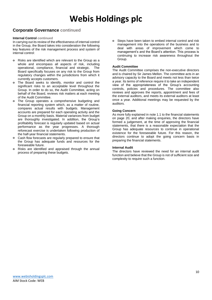### **Corporate Governance continued**

#### **Internal Control continued**

In carrying out its review of the effectiveness of internal control in the Group, the Board takes into consideration the following key features of the risk management process and system of internal control:

- **o** Risks are identified which are relevant to the Group as a whole and encompass all aspects of risk, including operational, compliance, financial and strategic. The Board specifically focuses on any risk to the Group from regulatory changes within the jurisdictions from which it currently accepts customers.
- **o** The Board seeks to identify, monitor and control the significant risks to an acceptable level throughout the Group. In order to do so, the Audit Committee, acting on behalf of the Board, reviews risk matters at each meeting of the Audit Committee.
- **o** The Group operates a comprehensive budgeting and financial reporting system which, as a matter of routine, compares actual results with budgets. Management accounts are prepared for each operating activity and the Group on a monthly basis. Material variances from budget are thoroughly investigated. In addition, the Group's profitability forecast is regularly updated based on actual performance as the year progresses. A thorough reforecast exercise is undertaken following production of the half-year financial statements.
- **o** Cash flow forecasts are regularly prepared to ensure that the Group has adequate funds and resources for the foreseeable future.
- **o** Risks are identified and appraised through the annual process of preparing these budgets.

**o** Steps have been taken to embed internal control and risk management into the operations of the business and to deal with areas of improvement which come to management's and the Board's attention. This process is continuing to increase risk awareness throughout the Group.

#### **Audit Committee**

The Audit Committee comprises the non-executive directors and is chaired by Sir James Mellon. The committee acts in an advisory capacity to the Board and meets not less than twice a year. Its terms of reference require it to take an independent view of the appropriateness of the Group's accounting controls, policies and procedures. The committee also reviews and approves the reports, appointment and fees of the external auditors, and meets its external auditors at least once a year. Additional meetings may be requested by the auditors.

#### **Going Concern**

As more fully explained in note 1.1 to the financial statements on page 20, and after making enquiries, the directors have formed a judgement, at the time of approving the financial statements, that there is a reasonable expectation that the Group has adequate resources to continue in operational existence for the foreseeable future. For this reason, the directors continue to adopt the going concern basis in preparing the financial statements.

#### **Internal Audit**

The directors have reviewed the need for an internal audit function and believe that the Group is not of sufficient size and complexity to require such a function.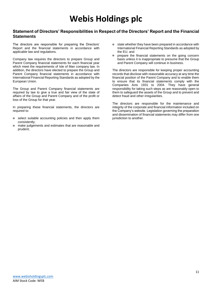### **Statement of Directors' Responsibilities in Respect of the Directors' Report and the Financial Statements**

The directors are responsible for preparing the Directors' Report and the financial statements in accordance with applicable law and regulations.

Company law requires the directors to prepare Group and Parent Company financial statements for each financial year which meet the requirements of Isle of Man company law. In addition, the directors have elected to prepare the Group and Parent Company financial statements in accordance with International Financial Reporting Standards as adopted by the European Union.

The Group and Parent Company financial statements are required by law to give a true and fair view of the state of affairs of the Group and Parent Company and of the profit or loss of the Group for that year.

In preparing these financial statements, the directors are required to:

- **o** select suitable accounting policies and then apply them consistently;
- **o** make judgements and estimates that are reasonable and prudent;
- **o** state whether they have been prepared in accordance with International Financial Reporting Standards as adopted by the EU; and
- **o** prepare the financial statements on the going concern basis unless it is inappropriate to presume that the Group and Parent Company will continue in business.

The directors are responsible for keeping proper accounting records that disclose with reasonable accuracy at any time the financial position of the Parent Company and to enable them to ensure that its financial statements comply with the Companies Acts 1931 to 2004. They have general responsibility for taking such steps as are reasonably open to them to safeguard the assets of the Group and to prevent and detect fraud and other irregularities.

The directors are responsible for the maintenance and integrity of the corporate and financial information included on the Company's website. Legislation governing the preparation and dissemination of financial statements may differ from one jurisdiction to another.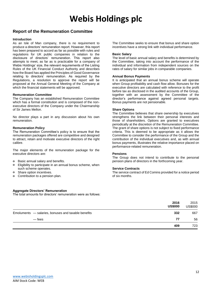### **Report of the Remuneration Committee**

#### **Introduction**

As an Isle of Man company, there is no requirement to produce a directors' remuneration report. However, this report has been prepared to accord as far as possible with rules and regulations for UK public companies in relation to the disclosure of directors' remuneration. This report also attempts to meet, as far as is practicable for a company of Webis Holdings' size, the relevant requirements of the Listing Rules of the UK Financial Conduct Authority and describes how the Board has applied the Principles of Good Governance relating to directors' remuneration. As required by the Regulations, a resolution to approve the report will be proposed at the Annual General Meeting of the Company at which the financial statements will be approved.

#### **Remuneration Committee**

The Company has an established Remuneration Committee which has a formal constitution and is composed of the nonexecutive directors of the Company under the Chairmanship of Sir James Mellon.

No director plays a part in any discussion about his own remuneration.

#### **Remuneration Policy**

The Remuneration Committee's policy is to ensure that the remuneration packages offered are competitive and designed to attract, retain and motivate executive directors of the right calibre.

The major elements of the remuneration package for the executive directors are:

- **o** Basic annual salary and benefits.
- **o** Eligibility to participate in an annual bonus scheme, when such scheme operates.
- **o** Share option incentives.
- **o** Contribution to a pension plan.

#### **Aggregate Directors' Remuneration**

The total amounts for directors' remuneration were as follows:

The Committee seeks to ensure that bonus and share option incentives have a strong link with individual performance.

#### **Basic Salary**

The level of basic annual salary and benefits is determined by the Committee, taking into account the performance of the individual and information from independent sources on the rates of salary for similar jobs in comparable companies.

#### **Annual Bonus Payments**

It is anticipated that an annual bonus scheme will operate when Group profitability and cash flow allow. Bonuses for the executive directors are calculated with reference to the profit before tax as disclosed in the audited accounts of the Group, together with an assessment by the Committee of the director's performance against agreed personal targets. Bonus payments are not pensionable.

#### **Share Options**

The Committee believes that share ownership by executives strengthens the link between their personal interests and those of shareholders. Options are granted to executives periodically at the discretion of the Remuneration Committee. The grant of share options is not subject to fixed performance criteria. This is deemed to be appropriate as it allows the Committee to consider the performance of the Group and the contribution of the individual executives and, as with annual bonus payments, illustrates the relative importance placed on performance-related remuneration.

#### **Pensions**

The Group does not intend to contribute to the personal pension plans of directors in the forthcoming year.

#### **Service Contracts**

The service contract of Ed Comins provided for a notice period of six months.

|                                                     | 2016<br><b>US\$000</b> | 2015<br><b>US\$000</b> |
|-----------------------------------------------------|------------------------|------------------------|
| Emoluments - salaries, bonuses and taxable benefits | 332                    | 667                    |
| — fees                                              | 77                     | 56                     |
|                                                     | 409                    | 723                    |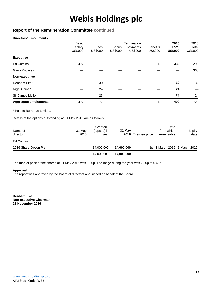### **Report of the Remuneration Committee continued**

#### **Directors' Emoluments**

|                             | <b>Basic</b><br>salary<br><b>US\$000</b> | Fees<br><b>US\$000</b> | <b>Bonus</b><br>US\$000 | Termination<br>payments<br><b>US\$000</b> | <b>Benefits</b><br><b>US\$000</b> | 2016<br><b>Total</b><br><b>US\$000</b> | 2015<br>Total<br><b>US\$000</b> |
|-----------------------------|------------------------------------------|------------------------|-------------------------|-------------------------------------------|-----------------------------------|----------------------------------------|---------------------------------|
| <b>Executive</b>            |                                          |                        |                         |                                           |                                   |                                        |                                 |
| <b>Ed Comins</b>            | 307                                      |                        |                         |                                           | 25                                | 332                                    | 299                             |
| <b>Garry Knowles</b>        |                                          |                        |                         |                                           |                                   |                                        | 368                             |
| Non-executive               |                                          |                        |                         |                                           |                                   |                                        |                                 |
| Denham Eke*                 |                                          | 30                     |                         |                                           |                                   | 30                                     | 32                              |
| Nigel Caine*                |                                          | 24                     |                         |                                           |                                   | 24                                     |                                 |
| Sir James Mellon            |                                          | 23                     |                         |                                           |                                   | 23                                     | 24                              |
| <b>Aggregate emoluments</b> | 307                                      | 77                     |                         |                                           | 25                                | 409                                    | 723                             |

\* Paid to Burnbrae Limited.

Details of the options outstanding at 31 May 2016 are as follows:

| Name of<br>director    | 31 May<br>2015 | Granted /<br>(lapsed) in<br>vear | 31 May     | 2016 Exercise price | Date<br>from which<br>exercisable | Expiry<br>date |
|------------------------|----------------|----------------------------------|------------|---------------------|-----------------------------------|----------------|
| Ed Comins              |                |                                  |            |                     |                                   |                |
| 2016 Share Option Plan |                | 14.000.000                       | 14,000,000 |                     | 1p 3 March 2019 3 March 2026      |                |
|                        |                | 14.000.000                       | 14,000,000 |                     |                                   |                |

The market price of the shares at 31 May 2016 was 1.80p. The range during the year was 2.50p to 0.45p.

#### **Approval**

The report was approved by the Board of directors and signed on behalf of the Board.

**Denham Eke Non-executive Chairman 28 November 2016**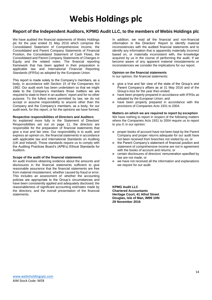### **Report of the Independent Auditors, KPMG Audit LLC, to the members of Webis Holdings plc**

We have audited the financial statements of Webis Holdings plc for the year ended 31 May 2016 which comprise the Consolidated Statement of Comprehensive Income, the Consolidated and Parent Company Statements of Financial Position, the Consolidated Statement of Cash Flows, the Consolidated and Parent Company Statements of Changes in Equity and the related notes. The financial reporting framework that has been applied in their preparation is applicable law and International Financial Reporting Standards (IFRSs) as adopted by the European Union.

This report is made solely to the Company's members, as a body, in accordance with Section 15 of the Companies Act 1982. Our audit work has been undertaken so that we might state to the Company's members those matters we are required to state to them in an auditors' report and for no other purpose. To the fullest extent permitted by law, we do not accept or assume responsibility to anyone other than the Company and the Company's members, as a body, for our audit work, for this report, or for the opinions we have formed.

#### **Respective responsibilities of Directors and Auditors**

As explained more fully in the Statement of Directors' Responsibilities set out on page 11, the directors are responsible for the preparation of financial statements that give a true and fair view. Our responsibility is to audit, and express an opinion on, the financial statements in accordance with applicable law and International Standards on Auditing (UK and Ireland). Those standards require us to comply with the Auditing Practices Board's (APB's) Ethical Standards for Auditors.

#### **Scope of the audit of the financial statements**

An audit involves obtaining evidence about the amounts and disclosures in the financial statements sufficient to give reasonable assurance that the financial statements are free from material misstatement, whether caused by fraud or error. This includes an assessment of: whether the accounting policies are appropriate to the Group's circumstances and have been consistently applied and adequately disclosed; the reasonableness of significant accounting estimates made by the directors; and the overall presentation of the financial statements.

In addition, we read all the financial and non-financial information in the Directors' Report to identify material inconsistencies with the audited financial statements and to identify any information that is apparently materially incorrect based on, or materially inconsistent with, the knowledge acquired by us in the course of performing the audit. If we become aware of any apparent material misstatements or inconsistencies we consider the implications for our report.

#### **Opinion on the financial statements**

In our opinion, the financial statements:

- **o** give a true and fair view of the state of the Group's and Parent Company's affairs as at 31 May 2016 and of the Group's loss for the year then ended;
- **o** have been properly prepared in accordance with IFRSs as adopted by the European Union; and
- **o** have been properly prepared in accordance with the provisions of Companies Acts 1931 to 2004.

#### **Matters on which we are required to report by exception**

We have nothing to report in respect of the following matters where the Companies Acts 1931 to 2004 require us to report to you if, in our opinion:

- **o** proper books of account have not been kept by the Parent Company and proper returns adequate for our audit have not been received from branches not visited by us; or
- **o** the Parent Company's statement of financial position and statement of comprehensive income are not in agreement with the books of account and returns; or
- **o** certain disclosures of directors' remuneration specified by law are not made; or
- **o** we have not received all the information and explanations we require for our audit.

**KPMG Audit LLC Chartered Accountants Heritage Court, 41 Athol Street Douglas, Isle of Man, IM99 1HN 29 November 2016**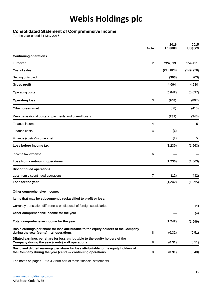### **Consolidated Statement of Comprehensive Income**

For the year ended 31 May 2016

|                                                                                                                                                    | Note | 2016<br><b>US\$000</b> | 2015<br><b>US\$000</b> |
|----------------------------------------------------------------------------------------------------------------------------------------------------|------|------------------------|------------------------|
| <b>Continuing operations</b>                                                                                                                       |      |                        |                        |
| Turnover                                                                                                                                           | 2    | 224,313                | 154,411                |
| Cost of sales                                                                                                                                      |      | (219, 826)             | (149, 978)             |
| Betting duty paid                                                                                                                                  |      | (393)                  | (203)                  |
| <b>Gross profit</b>                                                                                                                                |      | 4,094                  | 4,230                  |
| Operating costs                                                                                                                                    |      | (5,042)                | (5,037)                |
| <b>Operating loss</b>                                                                                                                              | 3    | (948)                  | (807)                  |
| Other losses - net                                                                                                                                 |      | (50)                   | (415)                  |
| Re-organisational costs, impairments and one-off costs                                                                                             |      | (231)                  | (346)                  |
| Finance income                                                                                                                                     | 4    |                        | 5                      |
| Finance costs                                                                                                                                      | 4    | (1)                    |                        |
| Finance (costs)/income - net                                                                                                                       |      | (1)                    | 5                      |
| Loss before income tax                                                                                                                             |      | (1, 230)               | (1, 563)               |
| Income tax expense                                                                                                                                 | 6    |                        |                        |
| Loss from continuing operations                                                                                                                    |      | (1, 230)               | (1, 563)               |
| <b>Discontinued operations</b>                                                                                                                     |      |                        |                        |
| Loss from discontinued operations                                                                                                                  | 7    | (12)                   | (432)                  |
| Loss for the year                                                                                                                                  |      | (1, 242)               | (1,995)                |
| Other comprehensive income:                                                                                                                        |      |                        |                        |
| Items that may be subsequently reclassified to profit or loss:                                                                                     |      |                        |                        |
| Currency translation differences on disposal of foreign subsidiaries                                                                               |      |                        | (4)                    |
| Other comprehensive income for the year                                                                                                            |      |                        | (4)                    |
| Total comprehensive income for the year                                                                                                            |      | (1, 242)               | (1,999)                |
| Basic earnings per share for loss attributable to the equity holders of the Company<br>during the year (cents) - all operations                    | 8    | (0.32)                 | (0.51)                 |
| Diluted earnings per share for loss attributable to the equity holders of the<br>Company during the year (cents) - all operations                  | 8    | (0.31)                 | (0.51)                 |
| Basic and diluted earnings per share for loss attributable to the equity holders of<br>the Company during the year (cents) - continuing operations | 8    | (0.31)                 | (0.40)                 |
|                                                                                                                                                    |      |                        |                        |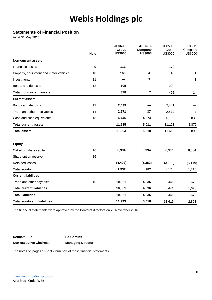## **Statements of Financial Position**

As at 31 May 2016

|                                        | <b>Note</b> | 31.05.16<br>Group<br><b>US\$000</b> | 31.05.16<br>Company<br><b>US\$000</b> | 31.05.15<br>Group<br><b>US\$000</b> | 31.05.15<br>Company<br><b>US\$000</b> |
|----------------------------------------|-------------|-------------------------------------|---------------------------------------|-------------------------------------|---------------------------------------|
| <b>Non-current assets</b>              |             |                                     |                                       |                                     |                                       |
| Intangible assets                      | 9           | 113                                 |                                       | 170                                 |                                       |
| Property, equipment and motor vehicles | 10          | 160                                 | 4                                     | 118                                 | 11                                    |
| Investments                            | 11          |                                     | 3                                     |                                     | 3                                     |
| Bonds and deposits                     | 12          | 105                                 |                                       | 204                                 |                                       |
| <b>Total non-current assets</b>        |             | 378                                 | $\overline{7}$                        | 492                                 | 14                                    |
| <b>Current assets</b>                  |             |                                     |                                       |                                     |                                       |
| Bonds and deposits                     | 12          | 2,499                               |                                       | 2,441                               |                                       |
| Trade and other receivables            | 14          | 2,671                               | 37                                    | 2,579                               | 41                                    |
| Cash and cash equivalents              | 13          | 6,445                               | 4,974                                 | 6,103                               | 2,838                                 |
| <b>Total current assets</b>            |             | 11,615                              | 5,011                                 | 11,123                              | 2,879                                 |
| <b>Total assets</b>                    |             | 11,993                              | 5,018                                 | 11,615                              | 2,893                                 |
| <b>Equity</b>                          |             |                                     |                                       |                                     |                                       |
| Called up share capital                | 16          | 6,334                               | 6,334                                 | 6,334                               | 6,334                                 |
| Share option reserve                   | 16          |                                     |                                       |                                     |                                       |
| <b>Retained losses</b>                 |             | (4, 402)                            | (5, 352)                              | (3, 160)                            | (5, 119)                              |
| <b>Total equity</b>                    |             | 1,932                               | 982                                   | 3,174                               | 1,215                                 |
| <b>Current liabilities</b>             |             |                                     |                                       |                                     |                                       |
| Trade and other payables               | 15          | 10,061                              | 4,036                                 | 8,441                               | 1,678                                 |
| <b>Total current liabilities</b>       |             | 10,061                              | 4,036                                 | 8,441                               | 1,678                                 |
| <b>Total liabilities</b>               |             | 10,061                              | 4,036                                 | 8,441                               | 1,678                                 |
| <b>Total equity and liabilities</b>    |             | 11,993                              | 5,018                                 | 11,615                              | 2,893                                 |

The financial statements were approved by the Board of directors on 28 November 2016

**Denham Eke Ed Comins**

**Non-executive Chairman Managing Director**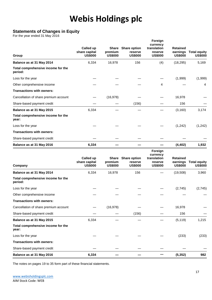### **Statements of Changes in Equity**

For the year ended 31 May 2016

| Group                                         | Called up<br>share capital<br><b>US\$000</b> | <b>Share</b><br>premium<br><b>US\$000</b> | <b>Share option</b><br>reserve<br><b>US\$000</b> | Foreign<br>currency<br>translation<br>reserve<br><b>US\$000</b> | <b>Retained</b><br>earnings<br><b>US\$000</b> | <b>Total equity</b><br><b>US\$000</b> |
|-----------------------------------------------|----------------------------------------------|-------------------------------------------|--------------------------------------------------|-----------------------------------------------------------------|-----------------------------------------------|---------------------------------------|
| Balance as at 31 May 2014                     | 6,334                                        | 16,978                                    | 156                                              | (4)                                                             | (18, 295)                                     | 5,169                                 |
| Total comprehensive income for the<br>period: |                                              |                                           |                                                  |                                                                 |                                               |                                       |
| Loss for the year                             |                                              |                                           |                                                  |                                                                 | (1,999)                                       | (1,999)                               |
| Other comprehensive income                    |                                              |                                           |                                                  | 4                                                               |                                               | 4                                     |
| <b>Transactions with owners:</b>              |                                              |                                           |                                                  |                                                                 |                                               |                                       |
| Cancellation of share premium account         |                                              | (16, 978)                                 |                                                  |                                                                 | 16,978                                        |                                       |
| Share-based payment credit                    |                                              |                                           | (156)                                            |                                                                 | 156                                           |                                       |
| Balance as at 31 May 2015                     | 6,334                                        |                                           |                                                  |                                                                 | (3, 160)                                      | 3,174                                 |
| Total comprehensive income for the<br>year:   |                                              |                                           |                                                  |                                                                 |                                               |                                       |
| Loss for the year                             |                                              |                                           |                                                  |                                                                 | (1, 242)                                      | (1,242)                               |
| <b>Transactions with owners:</b>              |                                              |                                           |                                                  |                                                                 |                                               |                                       |
| Share-based payment credit                    |                                              |                                           |                                                  |                                                                 |                                               |                                       |
| Balance as at 31 May 2016                     | 6,334                                        |                                           |                                                  |                                                                 | (4, 402)                                      | 1,932                                 |
|                                               |                                              |                                           |                                                  | Foreign<br>currency                                             |                                               |                                       |

| Company                                       | Called up<br>share capital<br><b>US\$000</b> | premium<br><b>US\$000</b> | Share Share option<br>reserve<br><b>US\$000</b> | currency<br>translation<br>reserve<br><b>US\$000</b> | <b>Retained</b><br>earnings<br><b>US\$000</b> | <b>Total equity</b><br><b>US\$000</b> |
|-----------------------------------------------|----------------------------------------------|---------------------------|-------------------------------------------------|------------------------------------------------------|-----------------------------------------------|---------------------------------------|
| Balance as at 31 May 2014                     | 6,334                                        | 16,978                    | 156                                             |                                                      | (19,508)                                      | 3,960                                 |
| Total comprehensive income for the<br>period: |                                              |                           |                                                 |                                                      |                                               |                                       |
| Loss for the year                             |                                              |                           |                                                 |                                                      | (2,745)                                       | (2,745)                               |
| Other comprehensive income                    |                                              |                           |                                                 |                                                      |                                               |                                       |
| <b>Transactions with owners:</b>              |                                              |                           |                                                 |                                                      |                                               |                                       |
| Cancellation of share premium account         |                                              | (16, 978)                 |                                                 |                                                      | 16,978                                        |                                       |
| Share-based payment credit                    |                                              |                           | (156)                                           |                                                      | 156                                           |                                       |
| Balance as at 31 May 2015                     | 6,334                                        |                           |                                                 |                                                      | (5, 119)                                      | 1,215                                 |
| Total comprehensive income for the<br>year:   |                                              |                           |                                                 |                                                      |                                               |                                       |
| Loss for the year                             |                                              |                           |                                                 |                                                      | (233)                                         | (233)                                 |
| <b>Transactions with owners:</b>              |                                              |                           |                                                 |                                                      |                                               |                                       |
| Share-based payment credit                    |                                              |                           |                                                 |                                                      |                                               |                                       |
| Balance as at 31 May 2016                     | 6,334                                        |                           |                                                 |                                                      | (5, 352)                                      | 982                                   |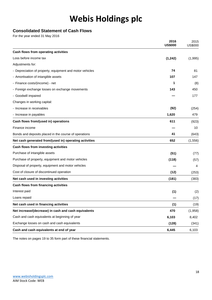## **Consolidated Statement of Cash Flows**

For the year ended 31 May 2016

|                                                          | 2016<br><b>US\$000</b> | 2015<br>US\$000 |
|----------------------------------------------------------|------------------------|-----------------|
| Cash flows from operating activities                     |                        |                 |
| Loss before income tax                                   | (1, 242)               | (1,995)         |
| Adjustments for:                                         |                        |                 |
| - Depreciation of property, equipment and motor vehicles | 74                     | 81              |
| - Amortisation of intangible assets                      | 107                    | 147             |
| - Finance costs/(income) - net                           | 1                      | (8)             |
| - Foreign exchange losses on exchange movements          | 143                    | 450             |
| - Goodwill impaired                                      |                        | 177             |
| Changes in working capital:                              |                        |                 |
| - Increase in receivables                                | (92)                   | (254)           |
| - Increase in payables                                   | 1,620                  | 479             |
| Cash flows from/(used in) operations                     | 611                    | (923)           |
| Finance income                                           |                        | 10              |
| Bonds and deposits placed in the course of operations    | 41                     | (643)           |
| Net cash generated from/(used in) operating activities   | 652                    | (1,556)         |
| Cash flows from investing activities                     |                        |                 |
| Purchase of intangible assets                            | (51)                   | (77)            |
| Purchase of property, equipment and motor vehicles       | (118)                  | (57)            |
| Disposal of property, equipment and motor vehicles       |                        | 4               |
| Cost of closure of discontinued operation                | (12)                   | (253)           |
| Net cash used in investing activities                    | (181)                  | (383)           |
| Cash flows from financing activities                     |                        |                 |
| Interest paid                                            | (1)                    | (2)             |
| Loans repaid                                             |                        | (17)            |
| Net cash used in financing activities                    | (1)                    | (19)            |
| Net increase/(decrease) in cash and cash equivalents     | 470                    | (1,958)         |
| Cash and cash equivalents at beginning of year           | 6,103                  | 8,402           |
| Exchange losses on cash and cash equivalents             | (128)                  | (341)           |
| Cash and cash equivalents at end of year                 | 6,445                  | 6,103           |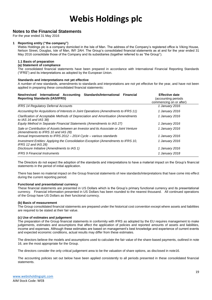### **Notes to the Financial Statements**

For the year ended 31 May 2016

#### **1 Reporting entity ("the company")**

Webis Holdings plc is a company domiciled in the Isle of Man. The address of the Company's registered office is Viking House, Nelson Street, Douglas, Isle of Man, IM1 2AH. The Group's consolidated financial statements as at and for the year ended 31 May 2016 consolidate those of the Company and its subsidiaries (together referred to as "the Group").

#### **1.1 Basis of preparation**

#### **(a) Statement of compliance**

The consolidated financial statements have been prepared in accordance with International Financial Reporting Standards ("IFRS") and its interpretations as adopted by the European Union.

#### **Standards and interpretations not yet effective**

A number of new standards, amendments to standards and interpretations are not yet effective for the year, and have not been applied in preparing these consolidated financial statements:

| International Accounting Standards/International<br>New/revised<br>Financial<br><b>Reporting Standards (IAS/IFRS)</b>       | <b>Effective date</b><br>(accounting periods<br>commencing on or after) |
|-----------------------------------------------------------------------------------------------------------------------------|-------------------------------------------------------------------------|
| <b>IFRS 14 Regulatory Deferral Accounts</b>                                                                                 | 1 January 2016                                                          |
| Accounting for Acquisitions of Interests in Joint Operations (Amendments to IFRS 11)                                        | 1 January 2016                                                          |
| Clarification of Acceptable Methods of Depreciation and Amortisation (Amendments<br>to IAS 16 and IAS $38$ )                | 1 January 2016                                                          |
| Equity Method in Separate Financial Statements (Amendments to IAS 27)                                                       | 1 January 2016                                                          |
| Sale or Contribution of Assets between an Investor and its Associate or Joint Venture<br>(Amendments to IFRS 10 and IAS 28) | 1 January 2016                                                          |
| Annual Improvements to IFRS 2012 - 2014 Cycle - various standards                                                           | 1 January 2016                                                          |
| Investment Entities: Applying the Consolidation Exception (Amendments to IFRS 10,<br>IFRS 12 and IAS 28)                    | 1 January 2016                                                          |
| Disclosure Initiative (Amendments to IAS 1)                                                                                 | 1 January 2016                                                          |
| <b>IFRS 9 Financial Instruments</b>                                                                                         | 1 January 2018                                                          |

The Directors do not expect the adoption of the standards and interpretations to have a material impact on the Group's financial statements in the period of initial application.

There has been no material impact on the Group financial statements of new standards/interpretations that have come into effect during the current reporting period.

#### **Functional and presentational currency**

These financial statements are presented in US Dollars which is the Group's primary functional currency and its presentational currency. Financial information presented in US Dollars has been rounded to the nearest thousand. All continued operations of the Group have US Dollars as their functional currency.

#### **(b) Basis of measurement**

The Group consolidated financial statements are prepared under the historical cost convention except where assets and liabilities are required to be stated at their fair value.

#### **(c) Use of estimates and judgement**

The preparation of the Group financial statements in conformity with IFRS as adopted by the EU requires management to make judgements, estimates and assumptions that affect the application of policies and reported amounts of assets and liabilities, income and expenses. Although these estimates are based on management's best knowledge and experience of current events and expected economic conditions, actual results may differ from these estimates.

The directors believe the models and assumptions used to calculate the fair value of the share-based payments, outlined in note 16, are the most appropriate for the Group.

The directors consider the only critical judgement area to be the valuation of share options, as disclosed in note16.

The accounting policies set out below have been applied consistently to all periods presented in these consolidated financial statements.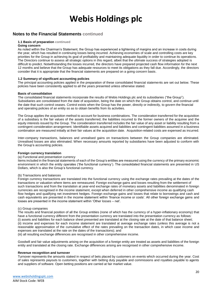### **Notes to the Financial Statements continued**

#### **1.1 Basis of preparation continued**

#### **Going concern**

As noted within the Chairman's Statement, the Group has experienced a tightening of margins and an increase in costs during the year, which has resulted in continuing losses being incurred. Achieving economies of scale and controlling costs are key priorities for the Group in achieving its goal of profitability and maintaining adequate liquidity in order to continue its operations. The Directors continue to assess all strategic options in this regard, albeit that the ultimate success of strategies adopted is difficult to predict. Notwithstanding the losses incurred, the directors have prepared projected cash flow information for the next 12 months and believe that the Group has adequate resources to meet its obligations as they fall due. Accordingly, the directors consider that it is appropriate that the financial statements are prepared on a going concern basis.

#### **1.2 Summary of significant accounting policies**

The principal accounting policies applied in the preparation of these consolidated financial statements are set out below. These policies have been consistently applied to all the years presented unless otherwise stated.

#### **Basis of consolidation**

The consolidated financial statements incorporate the results of Webis Holdings plc and its subsidiaries ("the Group"). Subsidiaries are consolidated from the date of acquisition, being the date on which the Group obtains control, and continue until the date that such control ceases. Control exists when the Group has the power, directly or indirectly, to govern the financial and operating policies of an entity so as to obtain benefits from its activities.

The Group applies the acquisition method to account for business combinations. The consideration transferred for the acquisition of a subsidiary is the fair values of the assets transferred, the liabilities incurred to the former owners of the acquiree and the equity interests issued by the Group. The consideration transferred includes the fair value of any asset or liability resulting from a contingent consideration arrangement. Identifiable assets acquired and liabilities and contingent liabilities assumed in a business combination are measured initially at their fair values at the acquisition date. Acquisition-related costs are expensed as incurred.

Inter-company transactions, balances and unrealised gains on transactions between the Group companies are eliminated. Unrealised losses are also eliminated. When necessary amounts reported by subsidiaries have been adjusted to conform with the Group's accounting policies.

#### **Foreign currency translation**

#### (a) Functional and presentation currency

Items included in the financial statements of each of the Group's entities are measured using the currency of the primary economic environment in which the entity operates ('the functional currency'). The consolidated financial statements are presented in US Dollars, which is also the Group's functional currency.

#### (b) Transactions and balances

Foreign currency transactions are translated into the functional currency using the exchange rates prevailing at the dates of the transactions or valuation where items are remeasured. Foreign exchange gains and losses resulting from the settlement of such transactions and from the translation at year-end exchange rates of monetary assets and liabilities denominated in foreign currencies are recognised in the income statement, except when deferred in other comprehensive income as qualifying cash flow hedges and qualifying net investment hedges. Foreign exchange gains and losses that relate to borrowings and cash and cash equivalents are presented in the income statement within 'finance income or costs'. All other foreign exchange gains and losses are presented in the income statement within 'Other losses – net'.

#### (c) Group companies

The results and financial position of all the Group entities (none of which has the currency of a hyper-inflationary economy) that have a functional currency different from the presentation currency are translated into the presentation currency as follows: (i) assets and liabilities for each balance sheet presented are translated at the closing rate at the date of that balance sheet; (ii) income and expenses for each income statement are translated at average exchange rates (unless this average is not a reasonable approximation of the cumulative effect of the rates prevailing on the transaction dates, in which case income and expenses are translated at the rate on the dates of the transactions); and

(iii) all resulting exchange differences are recognised in other comprehensive income.

Goodwill and fair value adjustments arising on the acquisition of a foreign entity are treated as assets and liabilities of the foreign entity and translated at the closing rate. Exchange differences arising are recognised in other comprehensive income.

#### **Revenue recognition and turnover**

Turnover represents the amounts staked in respect of bets placed by customers on events which occurred during the year. Cost of sales represents payouts to customers, together with betting duty payable and commissions and royalties payable to agents and suppliers of software. Open betting positions are carried at fair market value.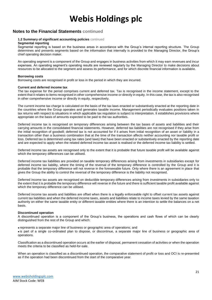### **Notes to the Financial Statements continued**

#### **1.2 Summary of significant accounting policies** continued **Segmental reporting**

Segmental reporting is based on the business areas in accordance with the Group's internal reporting structure. The Group determines and presents segments based on the information that internally is provided to the Managing Director, the Group's chief operating decision maker.

An operating segment is a component of the Group and engages in business activities from which it may earn revenues and incur expenses. An operating segment's operating results are reviewed regularly by the Managing Director to make decisions about resources to be allocated to the segment and assess its performance, and for which discrete financial information is available.

#### **Borrowing costs**

Borrowing costs are recognised in profit or loss in the period in which they are incurred.

#### **Current and deferred income tax**

The tax expense for the period comprises current and deferred tax. Tax is recognised in the income statement, except to the extent that it relates to items recognised in other comprehensive income or directly in equity. In this case, the tax is also recognised in other comprehensive income or directly in equity, respectively.

The current income tax charge is calculated on the basis of the tax laws enacted or substantively enacted at the reporting date in the countries where the Group operates and generates taxable income. Management periodically evaluates positions taken in tax returns with respect to situations in which applicable tax regulation is subject to interpretation. It establishes provisions where appropriate on the basis of amounts expected to be paid to the tax authorities.

Deferred income tax is recognised on temporary differences arising between the tax bases of assets and liabilities and their carrying amounts in the consolidated financial statements. However, deferred tax liabilities are not recognised if they arise from the initial recognition of goodwill; deferred tax is not accounted for if it arises from initial recognition of an asset or liability in a transaction other than a business combination that at the time of the transaction affects neither accounting nor taxable profit or loss. Deferred tax is determined using tax rates (and laws) that have been enacted or substantively enacted by the reporting date and are expected to apply when the related deferred income tax asset is realised or the deferred income tax liability is settled.

Deferred income tax assets are recognised only to the extent that it is probable that future taxable profit will be available against which the temporary differences can be utilised.

Deferred income tax liabilities are provided on taxable temporary differences arising from investments in subsidiaries except for deferred income tax liability, where the timing of the reversal of the temporary difference is controlled by the Group and it is probable that the temporary difference will not reverse in the foreseeable future. Only where there is an agreement in place that gives the Group the ability to control the reversal of the temporary difference is the liability not recognised.

Deferred income tax assets are recognised on deductible temporary differences arising from investments in subsidiaries only to the extent that it is probable the temporary difference will reverse in the future and there is sufficient taxable profit available against which the temporary difference can be utilised.

Deferred income tax assets and liabilities are offset when there is a legally enforceable right to offset current tax assets against current tax liabilities and when the deferred income taxes, assets and liabilities relate to income taxes levied by the same taxation authority on either the same taxable entity or different taxable entities where there is an intention to settle the balances on a net basis.

#### **Discontinued operation**

A discontinued operation is a component of the Group's business, the operations and cash flows of which can be clearly distinguished from the rest of the Group and which:

represents a separate major line of business or geographic area of operations; and

 is part of a single co-ordinated plan to dispose, or discontinue, a separate major line of business or geographic area of operations.

Classification as a discontinued operation occurs at the earlier of disposal, permanent cessation of activities or when the operation meets the criteria to be classified as held-for-sale.

When an operation is classified as a discontinued operation, the comparative statement of profit or loss and OCI is re-presented as if the operation had been discontinued from the start of the comparative year.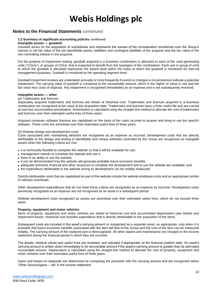### **Notes to the Financial Statements continued**

### **1.2 Summary of significant accounting policies continued**

#### **Intangible assets — goodwill**

Goodwill arises on the acquisition of subsidiaries and represents the excess of the consideration transferred over the Group's interest in net fair value of the net identifiable assets, liabilities and contingent liabilities of the acquiree and the fair value of the non-controlling interest in the acquiree.

For the purpose of impairment testing, goodwill acquired in a business combination is allocated to each of the cash-generating units ("CGUs"), or groups of CGUs, that is expected to benefit from the synergies of the combination. Each unit or group of units to which the goodwill is allocated represents the lowest level within the entity at which the goodwill is monitored for internal management purposes. Goodwill is monitored at the operating segment level.

Goodwill impairment reviews are undertaken annually or more frequently if events or changes in circumstances indicate a potential impairment. The carrying value of goodwill is compared to the recoverable amount, which is the higher of value in use and the fair value less costs of disposal. Any impairment is recognised immediately as an expense and is not subsequently reversed.

#### **Intangible assets — other**

#### (a) Trademarks and licences

Separately acquired trademarks and licences are shown at historical cost. Trademarks and licences acquired in a business combination are recognised at fair value at the acquisition date. Trademarks and licences have a finite useful life and are carried at cost less accumulated amortisation. Amortisation is calculated using the straight-line method to allocate the cost of trademarks and licences over their estimated useful lives of three years.

Acquired computer software licences are capitalised on the basis of the costs incurred to acquire and bring to use the specific software. These costs are amortised over their estimated useful lives of three years.

#### (b) Website design and development costs

Costs associated with maintaining websites are recognised as an expense as incurred. Development costs that are directly attributable to the design and testing of identifiable and unique websites controlled by the Group are recognised as intangible assets when the following criteria are met:

- it is technically feasible to complete the website so that it will be available for use;
- management intends to complete the website and use it;
- there is an ability to use the website;
- it can be demonstrated how the website will generate probable future economic benefits;
- adequate technical, financial and other resources to complete the development and to use the website are available; and
- the expenditure attributable to the website during its development can be reliably measured.

Directly attributable costs that are capitalised as part of the website include the website employee costs and an appropriate portion of relevant overheads.

Other development expenditures that do not meet these criteria are recognised as an expense as incurred. Development costs previously recognised as an expense are not recognised as an asset in a subsequent period.

Website development costs recognised as assets are amortised over their estimated useful lives, which do not exceed three years.

#### **Property, equipment and motor vehicles**

Items of property, equipment and motor vehicles are stated at historical cost less accumulated depreciation (see below) and impairment losses. Historical cost includes expenditure that is directly attributable to the acquisition of the items.

Subsequent costs are included in the asset's carrying amount or recognised as a separate asset, as appropriate, only when it is probable that future economic benefits associated with the item will flow to the Group and the cost of the item can be measured reliably. The carrying amount of the replaced part is derecognised. All other repairs and maintenance are charged to the income statement during the financial period in which they are incurred.

The assets' residual values and useful lives are reviewed, and adjusted if appropriate, at the financial position date. An asset's carrying amount is written down immediately to its recoverable amount if the asset's carrying amount is greater than its estimated recoverable amount. Depreciation is calculated using the straight-line method to allocate the cost of property, equipment and motor vehicles over their estimated useful lives of three years.

Gains and losses on disposals are determined by comparing the proceeds with the carrying amount and are recognised within 'Other (losses)/gains – net' in the income statement.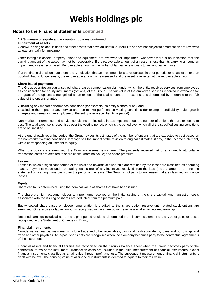### **Notes to the Financial Statements continued**

#### **1.2 Summary of significant accounting policies continued Impairment of assets**

Goodwill arising on acquisitions and other assets that have an indefinite useful life and are not subject to amortisation are reviewed at least annually for impairment.

Other intangible assets, property, plant and equipment are reviewed for impairment whenever there is an indication that the carrying amount of the asset may not be recoverable. If the recoverable amount of an asset is less than its carrying amount, an impairment loss is recognised. Recoverable amount is the higher of fair value less costs to sell and value in use.

If at the financial position date there is any indication that an impairment loss is recognised in prior periods for an asset other than goodwill that no longer exists, the recoverable amount is reassessed and the asset is reflected at the recoverable amount.

#### **Share-based payments**

The Group operates an equity-settled, share-based compensation plan, under which the entity receives services from employees as consideration for equity instruments (options) of the Group. The fair value of the employee services received in exchange for the grant of the options is recognised as an expense. The total amount to be expensed is determined by reference to the fair value of the options granted:

- including any market performance conditions (for example, an entity's share price); and
- excluding the impact of any service and non-market performance vesting conditions (for example, profitability, sales growth targets and remaining an employee of the entity over a specified time period).

Non-market performance and service conditions are included in assumptions about the number of options that are expected to vest. The total expense is recognised over the vesting period, which is the period over which all of the specified vesting conditions are to be satisfied.

At the end of each reporting period, the Group revises its estimates of the number of options that are expected to vest based on the non-market vesting conditions. It recognises the impact of the revision to original estimates, if any, in the income statement, with a corresponding adjustment to equity.

When the options are exercised, the Company issues new shares. The proceeds received net of any directly attributable transaction costs are credited to share capital (nominal value) and share premium.

#### **Leases**

Leases in which a significant portion of the risks and rewards of ownership are retained by the lessor are classified as operating leases. Payments made under operating leases (net of any incentives received from the lessor) are charged to the income statement on a straight-line basis over the period of the lease. The Group is not party to any leases that are classified as finance leases.

#### **Equity**

Share capital is determined using the nominal value of shares that have been issued.

The share premium account includes any premiums received on the initial issuing of the share capital. Any transaction costs associated with the issuing of shares are deducted from the premium paid.

Equity settled share-based employee remuneration is credited to the share option reserve until related stock options are exercised. On exercise or lapse, amounts recognised in the share option reserve are taken to retained earnings.

Retained earnings include all current and prior period results as determined in the income statement and any other gains or losses recognised in the Statement of Changes in Equity.

#### **Financial instruments**

Non-derivative financial instruments include trade and other receivables, cash and cash equivalents, loans and borrowings and trade and other payables. Ante-post sports bets are recognised when the Company becomes party to the contractual agreements of the instrument.

Financial assets and financial liabilities are recognised on the Group's balance sheet when the Group becomes party to the contractual terms of the instrument. Transaction costs are included in the initial measurement of financial instruments, except financial instruments classified as at fair value through profit and loss. The subsequent measurement of financial instruments is dealt with below. The carrying value of all financial instruments is deemed to equate to their fair value.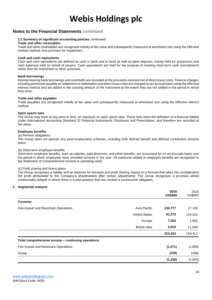### **Notes to the Financial Statements continued**

#### **1.2 Summary of significant accounting policies continued**

#### **Trade and other receivables**

Trade and other receivables are recognised initially at fair value and subsequently measured at amortised cost using the effective interest method, less provision for impairment.

#### **Cash and cash equivalents**

Cash and cash equivalents are defined as cash in bank and in hand as well as bank deposits, money held for processors and cash balances held on behalf of players. Cash equivalents are held for the purpose of meeting short-term cash commitments rather than for investment or other purposes.

#### **Bank borrowings**

Interest-bearing bank borrowings and overdrafts are recorded at the proceeds received net of direct issue costs. Finance charges, including premiums payable on settlement or redemption and direct issue costs are charged on an accrual basis using the effective interest method and are added to the carrying amount of the instrument to the extent they are not settled in the period in which they arise.

#### **Trade and other payables**

Trade payables are recognised initially at fair value and subsequently measured at amortised cost using the effective interest method.

#### **Open sports bets**

The Group may have at any point in time, an exposure on open sports bets. These bets meet the definition of a financial liability under International Accounting Standard 32 Financial Instruments: Disclosure and Presentation, and therefore are recorded at fair value.

#### **Employee benefits**

#### (a) Pension obligations

The Group does not operate any post-employment schemes, including both defined benefit and defined contribution pension plans.

#### (b) Short-term employee benefits

Short-term employee benefits, such as salaries, paid absences, and other benefits, are accounted for on an accruals basis over the period in which employees have provided services in the year. All expenses related to employee benefits are recognised in the Statement of Comprehensive Income in operating costs.

#### (c) Profit sharing and bonus plans

The Group recognises a liability and an expense for bonuses and profit sharing, based on a formula that takes into consideration the profit attributable to the Company's shareholders after certain adjustments. The Group recognises a provision where contractually obliged or where there is a past practice that has created a constructive obligation.

#### **2 Segmental analysis**

|                                                    |                      | 2016<br><b>US\$000</b> | 2015<br><b>US\$000</b> |
|----------------------------------------------------|----------------------|------------------------|------------------------|
| <b>Turnover</b>                                    |                      |                        |                        |
| Pari-mutuel and Racetrack Operations               | Asia Pacific         | 130,777                | 17,128                 |
|                                                    | <b>United States</b> | 81,273                 | 124,312                |
|                                                    | Europe               | 7,353                  | 1,962                  |
|                                                    | <b>British Isles</b> | 4,910                  | 11,009                 |
|                                                    |                      | 224,313                | 154,411                |
| Total comprehensive income - continuing operations |                      |                        |                        |
| Pari-mutuel and Racetrack Operations               |                      | (1,071)                | (1,065)                |
| Group                                              |                      | (159)                  | (498)                  |
|                                                    |                      | (1, 230)               | (1, 563)               |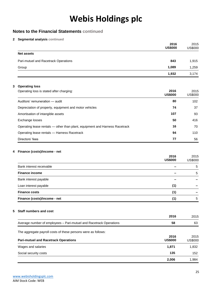### **Notes to the Financial Statements continued**

**2 Segmental analysis continued**

|                                      | 2016<br><b>US\$000</b> | 2015<br>US\$000 |
|--------------------------------------|------------------------|-----------------|
| <b>Net assets</b>                    |                        |                 |
| Pari-mutuel and Racetrack Operations | 843                    | 1,915           |
| Group                                | 1,089                  | 1,259           |
|                                      | 1,932                  | 3,174           |

#### **3 Operating loss**

| Operating loss is stated after charging:                                    | 2016<br><b>US\$000</b> | 2015<br><b>US\$000</b> |
|-----------------------------------------------------------------------------|------------------------|------------------------|
| Auditors' remuneration – audit                                              | 80                     | 102 <sub>1</sub>       |
| Depreciation of property, equipment and motor vehicles                      | 74                     | 37                     |
| Amortisation of intangible assets                                           | 107                    | 93                     |
| Exchange losses                                                             | 50                     | 416                    |
| Operating lease rentals — other than plant, equipment and Harness Racetrack | 16                     | 70                     |
| Operating lease rentals — Harness Racetrack                                 | 94                     | 110                    |
| Directors' fees                                                             | 77                     | 56                     |

#### **4 Finance (costs)/income - net**

|                              | 2016<br><b>US\$000</b> | 2015<br><b>US\$000</b> |
|------------------------------|------------------------|------------------------|
| Bank interest receivable     |                        | 5                      |
| <b>Finance income</b>        |                        | 5                      |
| Bank interest payable        |                        |                        |
| Loan interest payable        | (1)                    |                        |
| <b>Finance costs</b>         | (1)                    |                        |
| Finance (costs)/income - net | (1)                    | 5                      |

#### **5 Staff numbers and cost**

|                                                                    | 2016                   | 2015            |
|--------------------------------------------------------------------|------------------------|-----------------|
| Average number of employees - Pari-mutuel and Racetrack Operations | 58                     | 63              |
| The aggregate payroll costs of these persons were as follows:      |                        |                 |
| <b>Pari-mutuel and Racetrack Operations</b>                        | 2016<br><b>US\$000</b> | 2015<br>US\$000 |
| Wages and salaries                                                 | 1,871                  | 1,832           |
| Social security costs                                              | 135                    | 152             |
|                                                                    | 2,006                  | 1.984           |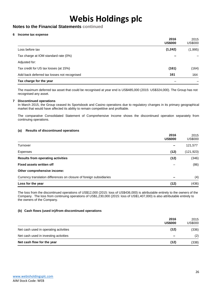### **Notes to the Financial Statements continued**

#### **6 Income tax expense**

|                                             | 2016<br><b>US\$000</b> | 2015<br>US\$000 |
|---------------------------------------------|------------------------|-----------------|
| Loss before tax                             | (1, 242)               | (1,995)         |
| Tax charge at IOM standard rate (0%)        |                        |                 |
| Adjusted for:                               |                        |                 |
| Tax credit for US tax losses (at 15%)       | (161)                  | (164)           |
| Add back deferred tax losses not recognised | 161                    | 164             |
| Tax charge for the year                     |                        |                 |

The maximum deferred tax asset that could be recognised at year end is US\$485,000 (2015: US\$324,000). The Group has not recognised any asset.

#### **7 Discontinued operations**

In March 2015, the Group ceased its Sportsbook and Casino operations due to regulatory changes in its primary geographical market that would have affected its ability to remain competitive and profitable.

The comparative Consolidated Statement of Comprehensive Income shows the discontinued operation separately from continuing operations.

#### **(a) Results of discontinued operations**

|                                                                     | 2016<br><b>US\$000</b> | 2015<br>US\$000 |
|---------------------------------------------------------------------|------------------------|-----------------|
| Turnover                                                            |                        | 121,577         |
| Expenses                                                            | (12)                   | (121, 923)      |
| <b>Results from operating activities</b>                            | (12)                   | (346)           |
| <b>Fixed assets written off</b>                                     |                        | (86)            |
| Other comprehensive income:                                         |                        |                 |
| Currency translation differences on closure of foreign subsidiaries |                        | (4)             |
| Loss for the year                                                   | (12)                   | (436)           |

The loss from the discontinued operations of US\$12,000 (2015: loss of US\$436,000) is attributable entirely to the owners of the Company. The loss from continuing operations of US\$1,230,000 (2015: loss of US\$1,407,000) is also attributable entirely to the owners of the Company.

#### **(b) Cash flows (used in)/from discontinued operations**

|                                       | 2016<br><b>US\$000</b>   | 2015<br>US\$000 |
|---------------------------------------|--------------------------|-----------------|
| Net cash used in operating activities | (12)                     | (336)           |
| Net cash used in investing activities | $\overline{\phantom{0}}$ | (2)             |
| Net cash flow for the year            | (12)                     | (338)           |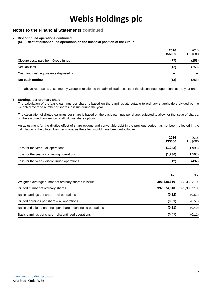### **Notes to the Financial Statements continued**

#### **7 Discontinued operations continued**

**(c) Effect of discontinued operations on the financial position of the Group**

|                                       | 2016<br><b>US\$000</b>   | 2015<br>US\$000 |
|---------------------------------------|--------------------------|-----------------|
| Closure costs paid from Group funds   | (12)                     | (253)           |
| Net liabilities                       | (12)                     | (253)           |
| Cash and cash equivalents disposed of | $\overline{\phantom{a}}$ |                 |
| Net cash outflow                      | (12)                     | (253)           |

The above represents costs met by Group in relation to the administration costs of the discontinued operations at the year end.

#### **8 Earnings per ordinary share**

The calculation of the basic earnings per share is based on the earnings attributable to ordinary shareholders divided by the weighted average number of shares in issue during the year.

The calculation of diluted earnings per share is based on the basic earnings per share, adjusted to allow for the issue of shares, on the assumed conversion of all dilutive share options.

An adjustment for the dilutive effect of share options and convertible debt in the previous period has not been reflected in the calculation of the diluted loss per share, as the effect would have been anti-dilutive.

|                                             | 2016<br><b>US\$000</b> | 2015<br><b>US\$000</b> |
|---------------------------------------------|------------------------|------------------------|
| Loss for the year $-$ all operations        | (1,242)                | (1,995)                |
| Loss for the year – continuing operations   | (1,230)                | (1, 563)               |
| Loss for the year – discontinued operations | (12)                   | (432)                  |

|                                                              | No.         | No.         |
|--------------------------------------------------------------|-------------|-------------|
| Weighted average number of ordinary shares in issue          | 393,338,310 | 393,338,310 |
| Diluted number of ordinary shares                            | 397,874,810 | 393,338,310 |
| Basic earnings per share – all operations                    | (0.32)      | (0.51)      |
| Diluted earnings per share - all operations                  | (0.31)      | (0.51)      |
| Basic and diluted earnings per share - continuing operations | (0.31)      | (0.40)      |
| Basic earnings per share - discontinued operations           | (0.01)      | (0.11)      |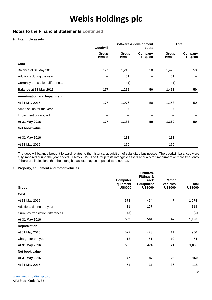### **Notes to the Financial Statements continued**

#### **9 Intangible assets**

|                                    |                         | Software & development<br>Goodwill<br>costs |                           | <b>Total</b>            |                           |
|------------------------------------|-------------------------|---------------------------------------------|---------------------------|-------------------------|---------------------------|
|                                    | Group<br><b>US\$000</b> | Group<br><b>US\$000</b>                     | Company<br><b>US\$000</b> | Group<br><b>US\$000</b> | Company<br><b>US\$000</b> |
| Cost                               |                         |                                             |                           |                         |                           |
| Balance at 31 May 2015             | 177                     | 1,246                                       | 50                        | 1,423                   | 50                        |
| Additions during the year          |                         | 51                                          |                           | 51                      |                           |
| Currency translation differences   |                         | (1)                                         |                           | (1)                     |                           |
| Balance at 31 May 2016             | 177                     | 1,296                                       | 50                        | 1,473                   | 50                        |
| <b>Amortisation and Impairment</b> |                         |                                             |                           |                         |                           |
| At 31 May 2015                     | 177                     | 1,076                                       | 50                        | 1,253                   | 50                        |
| Amortisation for the year          |                         | 107                                         |                           | 107                     |                           |
| Impairment of goodwill             |                         |                                             |                           |                         |                           |
| At 31 May 2016                     | 177                     | 1,183                                       | 50                        | 1,360                   | 50                        |
| Net book value                     |                         |                                             |                           |                         |                           |
| At 31 May 2016                     |                         | 113                                         |                           | 113                     |                           |
| At 31 May 2015                     |                         | 170                                         |                           | 170                     |                           |

The goodwill balance brought forward relates to the historical acquisition of subsidiary businesses. The goodwill balances were fully impaired during the year ended 31 May 2015. The Group tests intangible assets annually for impairment or more frequently if there are indications that the intangible assets may be impaired (see note 1).

#### **10 Property, equipment and motor vehicles**

| Group                            | <b>Computer</b><br><b>Equipment</b><br><b>US\$000</b> | Fixtures,<br><b>Fittings &amp;</b><br><b>Track</b><br><b>Equipment</b><br><b>US\$000</b> | <b>Motor</b><br><b>Vehicles</b><br><b>US\$000</b> | <b>Total</b><br><b>US\$000</b> |
|----------------------------------|-------------------------------------------------------|------------------------------------------------------------------------------------------|---------------------------------------------------|--------------------------------|
| Cost                             |                                                       |                                                                                          |                                                   |                                |
| At 31 May 2015                   | 573                                                   | 454                                                                                      | 47                                                | 1,074                          |
| Additions during the year        | 11                                                    | 107                                                                                      |                                                   | 118                            |
| Currency translation differences | (2)                                                   |                                                                                          |                                                   | (2)                            |
| At 31 May 2016                   | 582                                                   | 561                                                                                      | 47                                                | 1,190                          |
| <b>Depreciation</b>              |                                                       |                                                                                          |                                                   |                                |
| At 31 May 2015                   | 522                                                   | 423                                                                                      | 11                                                | 956                            |
| Charge for the year              | 13                                                    | 51                                                                                       | 10                                                | 74                             |
| At 31 May 2016                   | 535                                                   | 474                                                                                      | 21                                                | 1,030                          |
| Net book value                   |                                                       |                                                                                          |                                                   |                                |
| At 31 May 2016                   | 47                                                    | 87                                                                                       | 26                                                | 160                            |
| At 31 May 2015                   | 51                                                    | 31                                                                                       | 36                                                | 118                            |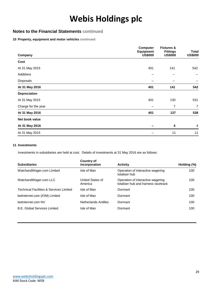### **Notes to the Financial Statements continued**

#### **10 Property, equipment and motor vehicles continued**

|                     | <b>Computer</b><br><b>Equipment</b> | <b>Fixtures &amp;</b><br><b>Fittings</b> | <b>Total</b>   |
|---------------------|-------------------------------------|------------------------------------------|----------------|
| Company             | <b>US\$000</b>                      | <b>US\$000</b>                           | <b>US\$000</b> |
| Cost                |                                     |                                          |                |
| At 31 May 2015      | 401                                 | 141                                      | 542            |
| Additions           |                                     |                                          |                |
| Disposals           |                                     |                                          |                |
| At 31 May 2016      | 401                                 | 141                                      | 542            |
| <b>Depreciation</b> |                                     |                                          |                |
| At 31 May 2015      | 401                                 | 130                                      | 531            |
| Charge for the year | -                                   | $\overline{7}$                           | $\overline{7}$ |
| At 31 May 2016      | 401                                 | 137                                      | 538            |
| Net book value      |                                     |                                          |                |
| At 31 May 2016      |                                     | 4                                        | 4              |
| At 31 May 2015      |                                     | 11                                       | 11             |

#### **11 Investments**

Investments in subsidiaries are held at cost. Details of investments at 31 May 2016 are as follows:

| <b>Subsidiaries</b>                                | <b>Country of</b><br>incorporation | <b>Activity</b>                                                          | Holding (%) |
|----------------------------------------------------|------------------------------------|--------------------------------------------------------------------------|-------------|
| WatchandWager.com Limited                          | Isle of Man                        | Operation of interactive wagering<br>totaliser hub                       | 100         |
| WatchandWager.com LLC                              | United States of<br>America        | Operation of interactive wagering<br>totaliser hub and harness racetrack | 100         |
| <b>Technical Facilities &amp; Services Limited</b> | Isle of Man                        | Dormant                                                                  | 100         |
| betinternet.com (IOM) Limited                      | Isle of Man                        | Dormant                                                                  | 100         |
| betinternet.com NV                                 | Netherlands Antilles               | Dormant                                                                  | 100         |
| <b>B.E. Global Services Limited</b>                | Isle of Man                        | Dormant                                                                  | 100         |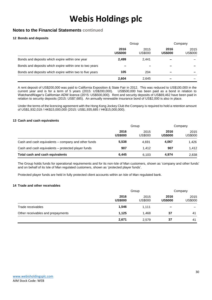### **Notes to the Financial Statements continued**

#### **12 Bonds and deposits**

|                                                          | Group                  |                          | Company                  |                          |
|----------------------------------------------------------|------------------------|--------------------------|--------------------------|--------------------------|
|                                                          | 2016<br><b>US\$000</b> | 2015<br>US\$000          | 2016<br><b>US\$000</b>   | 2015<br>US\$000          |
| Bonds and deposits which expire within one year          | 2,499                  | 2.441                    |                          |                          |
| Bonds and deposits which expire within one to two years  |                        | $\overline{\phantom{a}}$ |                          |                          |
| Bonds and deposits which expire within two to five years | 105                    | 204                      | $\overline{\phantom{0}}$ | $\overline{\phantom{0}}$ |
|                                                          | 2,604                  | 2,645                    |                          |                          |

A rent deposit of US\$200,000 was paid to California Exposition & State Fair in 2012. This was reduced to US\$100,000 in the current year and is for a term of 5 years (2015: US\$200,000). US\$500,000 has been paid as a bond in relation to WatchandWager's Californian ADW licence (2015: US\$500,000). Rent and security deposits of US\$69,462 have been paid in relation to security deposits (2015: US\$7,685). An annually renewable insurance bond of US\$2,000 is also in place.

Under the terms of the licencing agreement with the Hong Kong Jockey Club the Company is required to hold a retention amount of US\$1,932,019 / HK\$15,000,000 (2015: US\$1,935,685 / HK\$15,000,000).

#### **13 Cash and cash equivalents**

|                                                     | Group                  |                 | Company                |                 |
|-----------------------------------------------------|------------------------|-----------------|------------------------|-----------------|
|                                                     | 2016<br><b>US\$000</b> | 2015<br>US\$000 | 2016<br><b>US\$000</b> | 2015<br>US\$000 |
| Cash and cash equivalents – company and other funds | 5,538                  | 4.691           | 4,067                  | 1.426           |
| Cash and cash equivalents – protected player funds  | 907                    | 1.412           | 907                    | 1.412           |
| Total cash and cash equivalents                     | 6.445                  | 6.103           | 4,974                  | 2,838           |

The Group holds funds for operational requirements and for its non-Isle of Man customers, shown as 'company and other funds' and on behalf of its Isle of Man regulated customers, shown as 'protected player funds'.

Protected player funds are held in fully protected client accounts within an Isle of Man regulated bank.

#### **14 Trade and other receivables**

|                                   | Group                  |                 | Company                  |                 |
|-----------------------------------|------------------------|-----------------|--------------------------|-----------------|
|                                   | 2016<br><b>US\$000</b> | 2015<br>US\$000 | 2016<br><b>US\$000</b>   | 2015<br>US\$000 |
| Trade receivables                 | 1,546                  | 1,111           | $\overline{\phantom{0}}$ |                 |
| Other receivables and prepayments | 1,125                  | 1,468           | 37                       | 41              |
|                                   | 2,671                  | 2,579           | 37                       | 41              |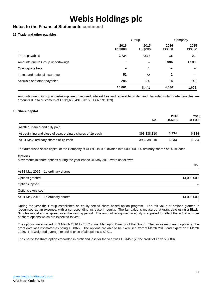### **Notes to the Financial Statements continued**

#### **15 Trade and other payables**

|                                   | Group                    |                        | Company                |                 |
|-----------------------------------|--------------------------|------------------------|------------------------|-----------------|
|                                   | 2016<br><b>US\$000</b>   | 2015<br><b>US\$000</b> | 2016<br><b>US\$000</b> | 2015<br>US\$000 |
| Trade payables                    | 9,724                    | 7,678                  | 15                     | 21              |
| Amounts due to Group undertakings |                          |                        | 3,994                  | 1,509           |
| Open sports bets                  | $\overline{\phantom{0}}$ | 1                      |                        |                 |
| Taxes and national insurance      | 52                       | 72                     | $\mathbf{2}$           |                 |
| Accruals and other payables       | 285                      | 690                    | 25                     | 148             |
|                                   | 10,061                   | 8,441                  | 4,036                  | 1,678           |

Amounts due to Group undertakings are unsecured, interest free and repayable on demand. Included within trade payables are amounts due to customers of US\$9,656,431 (2015: US\$7,591,139).

#### **16 Share capital**

|                                                            | No.         | 2016<br><b>US\$000</b> | 2015<br><b>US\$000</b> |
|------------------------------------------------------------|-------------|------------------------|------------------------|
| Allotted, issued and fully paid                            |             |                        |                        |
| At beginning and close of year: ordinary shares of 1p each | 393,338,310 | 6.334                  | 6,334                  |
| At 31 May: ordinary shares of 1p each                      | 393,338,310 | 6.334                  | 6.334                  |

The authorised share capital of the Company is US\$9,619,000 divided into 600,000,000 ordinary shares of £0.01 each.

#### **Options**

Movements in share options during the year ended 31 May 2016 were as follows:

|                                     | No.        |
|-------------------------------------|------------|
| At 31 May 2015 - 1p ordinary shares |            |
| Options granted                     | 14,000,000 |
| Options lapsed                      |            |
| Options exercised                   |            |
| At 31 May 2016 - 1p ordinary shares | 14,000,000 |

During the year the Group established an equity-settled share based option program. The fair value of options granted is recognised as an expense, with a corresponding increase in equity. The fair value is measured at grant date using a Black-Scholes model and is spread over the vesting period. The amount recognised in equity is adjusted to reflect the actual number of share options which are expected to vest.

The options were issued on 3 March 2016 to Ed Comins, Managing Director of the Group. The fair value of each option on the grant date was estimated as being £0.0022. The options are able to be exercised from 3 March 2019 and expire on 2 March 2026. The weighted average exercise price of all options is £0.01.

The charge for share options recorded in profit and loss for the year was US\$457 (2015: credit of US\$156,000).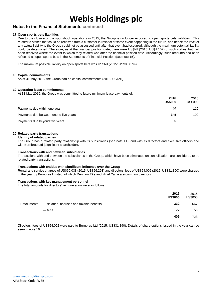### **Notes to the Financial Statements continued**

#### **17 Open sports bets liabilities**

Due to the closure of the sportsbook operations in 2015, the Group is no longer exposed to open sports bets liabilities. This related to stakes that could be received from a customer in respect of some event happening in the future, and hence the level of any actual liability to the Group could not be assessed until after that event had occurred, although the maximum potential liability could be determined. Therefore, as at the financial position date, there were US\$Nil (2015: US\$1,157) of such stakes that had been received where the event to which they related was after the financial position date. Accordingly, such amounts had been reflected as open sports bets in the Statements of Financial Position (see note 15).

The maximum possible liability on open sports bets was US\$Nil (2015: US\$0.007m).

#### **18 Capital commitments**

As at 31 May 2016, the Group had no capital commitments (2015: US\$Nil).

#### **19 Operating lease commitments**

At 31 May 2016, the Group was committed to future minimum lease payments of:

|                                        | 2016<br><b>US\$000</b> | 2015<br>US\$000 |
|----------------------------------------|------------------------|-----------------|
| Payments due within one year           | 86                     | 119             |
| Payments due between one to five years | 345                    | 102             |
| Payments due beyond five years         | 86                     |                 |

#### **20 Related party transactions**

#### **Identity of related parties**

The Group has a related party relationship with its subsidiaries (see note 11), and with its directors and executive officers and with Burnbrae Ltd (significant shareholder).

#### **Transactions with and between subsidiaries**

Transactions with and between the subsidiaries in the Group, which have been eliminated on consolidation, are considered to be related party transactions.

#### **Transactions with entities with significant influence over the Group**

Rental and service charges of US\$60,038 (2015: US\$56,293) and directors' fees of US\$54,002 (2015: US\$31,890) were charged in the year by Burnbrae Limited, of which Denham Eke and Nigel Caine are common directors.

#### **Transactions with key management personnel**

The total amounts for directors' remuneration were as follows:

|            |                                          | 2016<br><b>US\$000</b> | 2015<br><b>US\$000</b> |
|------------|------------------------------------------|------------------------|------------------------|
| Emoluments | - salaries, bonuses and taxable benefits | 332                    | 667                    |
|            | — fees                                   | 77                     | 56                     |
|            |                                          | 409                    | 723                    |

Directors' fees of US\$54,002 were paid to Burnbrae Ltd (2015: US\$31,890). Details of share options issued in the year can be seen in note 16.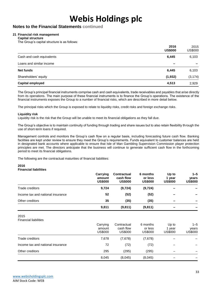## **Notes to the Financial Statements continued**

#### **21 Financial risk management**

**Capital structure**

The Group's capital structure is as follows:

|                           | 2016<br><b>US\$000</b>   | 2015<br>US\$000 |
|---------------------------|--------------------------|-----------------|
| Cash and cash equivalents | 6,445                    | 6,103           |
| Loans and similar income  | $\overline{\phantom{a}}$ |                 |
| <b>Net funds</b>          | 6,445                    | 6,103           |
| Shareholders' equity      | (1, 932)                 | (3, 174)        |
| <b>Capital employed</b>   | 4,513                    | 2,929           |

The Group's principal financial instruments comprise cash and cash equivalents, trade receivables and payables that arise directly from its operations. The main purpose of these financial instruments is to finance the Group's operations. The existence of the financial instruments exposes the Group to a number of financial risks, which are described in more detail below.

The principal risks which the Group is exposed to relate to liquidity risks, credit risks and foreign exchange risks.

#### **Liquidity risk**

Liquidity risk is the risk that the Group will be unable to meet its financial obligations as they fall due.

The Group's objective is to maintain continuity of funding through trading and share issues but to also retain flexibility through the use of short-term loans if required.

Management controls and monitors the Group's cash flow on a regular basis, including forecasting future cash flow. Banking facilities are kept under review to ensure they meet the Group's requirements. Funds equivalent to customer balances are held in designated bank accounts where applicable to ensure that Isle of Man Gambling Supervision Commission player protection principles are met. The directors anticipate that the business will continue to generate sufficient cash flow in the forthcoming period to meet its financial obligations.

The following are the contractual maturities of financial liabilities:

#### **2016 Financial liabilities**

|                                   | Carrying<br>amount<br><b>US\$000</b> | Contractual<br>cash flow<br><b>US\$000</b> | 6 months<br>or less<br><b>US\$000</b> | Up to<br>vear<br><b>US\$000</b> | $1 - 5$<br>vears<br><b>US\$000</b> |
|-----------------------------------|--------------------------------------|--------------------------------------------|---------------------------------------|---------------------------------|------------------------------------|
| Trade creditors                   | 9,724                                | (9, 724)                                   | (9, 724)                              | $\overline{\phantom{a}}$        |                                    |
| Income tax and national insurance | 52                                   | (52)                                       | (52)                                  | -                               |                                    |
| Other creditors                   | 35                                   | (35)                                       | (35)                                  | $\overline{\phantom{0}}$        | $\overline{\phantom{0}}$           |
|                                   | 9,811                                | (9,811)                                    | (9,811)                               |                                 |                                    |

2015 Financial liabilities

|                                   | Carrying<br>amount<br>US\$000 | Contractual<br>cash flow<br><b>US\$000</b> | 6 months<br>or less<br><b>US\$000</b> | Up to<br>1 year<br>US\$000 | $1 - 5$<br>vears<br>US\$000 |
|-----------------------------------|-------------------------------|--------------------------------------------|---------------------------------------|----------------------------|-----------------------------|
| Trade creditors                   | 7,678                         | (7,678)                                    | (7,678)                               |                            |                             |
| Income tax and national insurance | 72                            | (72)                                       | (72)                                  |                            |                             |
| Other creditors                   | 295                           | (295)                                      | (295)                                 |                            |                             |
|                                   | 8,045                         | (8,045)                                    | (8,045)                               |                            |                             |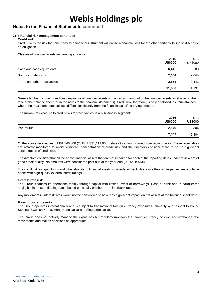### **Notes to the Financial Statements continued**

#### **21 Financial risk management continued**

**Credit risk**

Credit risk is the risk that one party to a financial instrument will cause a financial loss for the other party by failing to discharge an obligation.

Classes of financial assets — carrying amounts

|                             | 2016<br><b>US\$000</b> | 2015<br><b>US\$000</b> |
|-----------------------------|------------------------|------------------------|
| Cash and cash equivalents   | 6,445                  | 6,103                  |
| Bonds and deposits          | 2,604                  | 2,645                  |
| Trade and other receivables | 2,551                  | 2,443                  |
|                             | 11,600                 | 11,191                 |

Generally, the maximum credit risk exposure of financial assets is the carrying amount of the financial assets as shown on the face of the balance sheet (or in the notes to the financial statements). Credit risk, therefore, is only disclosed in circumstances where the maximum potential loss differs significantly from the financial asset's carrying amount.

The maximum exposure to credit risks for receivables in any business segment:

|             | 2016<br><b>US\$000</b> | 2015<br><b>US\$000</b> |
|-------------|------------------------|------------------------|
| Pari-mutuel | 2,549                  | 2,304                  |
|             | 2,549                  | 2,304                  |

Of the above receivables, US\$1,546,000 (2015: US\$1,111,000) relates to amounts owed from racing tracks. These receivables are actively monitored to avoid significant concentration of credit risk and the directors consider there to be no significant concentration of credit risk.

The directors consider that all the above financial assets that are not impaired for each of the reporting dates under review are of good credit quality. No amounts were considered past due at the year end (2015: US\$Nil).

The credit risk for liquid funds and other short-term financial assets is considered negligible, since the counterparties are reputable banks with high-quality external credit ratings.

#### **Interest rate risk**

The Group finances its operations mainly through capital with limited levels of borrowings. Cash at bank and in hand earns negligible interest at floating rates, based principally on short-term interbank rates.

Any movement in interest rates would not be considered to have any significant impact on net assets at the balance sheet date.

#### **Foreign currency risks**

The Group operates internationally and is subject to transactional foreign currency exposures, primarily with respect to Pound Sterling, Swedish Krona, Hong Kong Dollar and Singapore Dollar.

The Group does not actively manage the exposures but regularly monitors the Group's currency position and exchange rate movements and makes decisions as appropriate.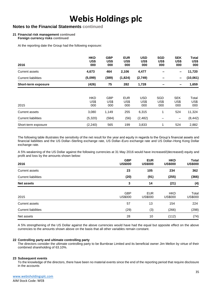### **Notes to the Financial Statements continued**

### **21 Financial risk management continued**

**Foreign currency risks continued**

At the reporting date the Group had the following exposure:

| 2016                       | <b>HKD</b><br>US\$<br>000 | <b>GBP</b><br>US\$<br>000 | <b>EUR</b><br>US\$<br>000 | <b>USD</b><br>US\$<br>000 | <b>SGD</b><br>US\$<br>000 | <b>SEK</b><br>US\$<br>000 | <b>Total</b><br>US\$<br>000 |
|----------------------------|---------------------------|---------------------------|---------------------------|---------------------------|---------------------------|---------------------------|-----------------------------|
| Current assets             | 4,673                     | 464                       | 2,106                     | 4,477                     |                           |                           | 11,720                      |
| <b>Current liabilities</b> | (5,099)                   | (389)                     | (1,824)                   | (2,749)                   | -                         | -                         | (10,061)                    |
| Short-term exposure        | (426)                     | 75                        | 282                       | 1,728                     | -                         | -                         | 1,659                       |
|                            |                           |                           |                           |                           |                           |                           |                             |
|                            | <b>HKD</b>                | <b>GBP</b>                | <b>EUR</b>                | <b>USD</b>                | <b>SGD</b>                | <b>SEK</b>                | Total                       |
|                            | US\$                      | US\$                      | US\$                      | US\$                      | US\$                      | US\$                      | US\$                        |
| 2015                       | 000                       | 000                       | 000                       | 000                       | 000                       | 000                       | 000                         |
| Current assets             | 3,080                     | 1,149                     | 255                       | 6,315                     | 1                         | 524                       | 11,324                      |
| <b>Current liabilities</b> | (5,320)                   | (584)                     | (56)                      | (2, 482)                  |                           |                           | (8, 442)                    |
| Short-term exposure        | (2, 240)                  | 565                       | 199                       | 3,833                     | 1                         | 524                       | 2,882                       |

The following table illustrates the sensitivity of the net result for the year and equity in regards to the Group's financial assets and financial liabilities and the US Dollar–Sterling exchange rate, US Dollar–Euro exchange rate and US Dollar–Hong Kong Dollar exchange rate.

A 5% weakening of the US Dollar against the following currencies at 31 May 2016 would have increased/(decreased) equity and profit and loss by the amounts shown below:

| 2016                       | <b>GBP</b><br><b>US\$000</b> | <b>EUR</b><br><b>US\$000</b> | <b>HKD</b><br><b>US\$000</b> | <b>Total</b><br><b>US\$000</b> |
|----------------------------|------------------------------|------------------------------|------------------------------|--------------------------------|
| <b>Current assets</b>      | 23                           | 105                          | 234                          | 362                            |
| <b>Current liabilities</b> | (20)                         | (91)                         | (255)                        | (366)                          |
| <b>Net assets</b>          | 3                            | 14                           | (21)                         | (4)                            |
| 2015                       | <b>GBP</b><br>US\$000        | <b>EUR</b><br><b>US\$000</b> | <b>HKD</b><br><b>US\$000</b> | Total<br><b>US\$000</b>        |
| <b>Current assets</b>      | 57                           | 13                           | 154                          | 224                            |
| <b>Current liabilities</b> | (29)                         | (3)                          | (266)                        | (298)                          |
| Net assets                 | 28                           | 10                           | (112)                        | (74)                           |

A 5% strengthening of the US Dollar against the above currencies would have had the equal but opposite effect on the above currencies to the amounts shown above on the basis that all other variables remain constant.

#### **22 Controlling party and ultimate controlling party**

The directors consider the ultimate controlling party to be Burnbrae Limited and its beneficial owner Jim Mellon by virtue of their combined shareholding of 63.10%.

#### **23 Subsequent events**

To the knowledge of the directors, there have been no material events since the end of the reporting period that require disclosure in the accounts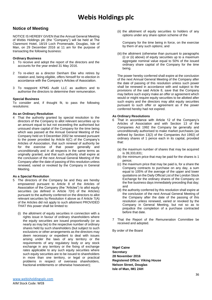## **Notice of Meeting**

NOTICE IS HEREBY GIVEN that the Annual General Meeting of Webis Holdings plc (the "Company") will be held at The Claremont Hotel, 18/19 Loch Promenade, Douglas, Isle of Man, on 29 December 2016 at 11 am for the purpose of transacting the following business:

#### **Ordinary Business**

- 1 To receive and adopt the report of the directors and the accounts for the year ended 31 May 2016.
- 2 To re-elect as a director Denham Eke who retires by rotation and, being eligible, offers himself for re-election in accordance with the Company's Articles of Association.
- 3 To reappoint KPMG Audit LLC as auditors and to authorise the directors to determine their remuneration.

#### **Special Business**

To consider and, if thought fit, to pass the following resolutions:

#### **As an Ordinary Resolution**

4 That the authority granted by special resolution to the directors of the Company to allot relevant securities up to an amount equal to but not exceeding the authorised but unissued share capital of the Company for the time being which was passed at the Annual General Meeting of the Company held on 9 December 2002 be renewed pursuant to the power provided by Article 6(C) of the Company's Articles of Association, that such renewal of authority be for the exercise of that power generally and unconditionally and in all respects in the same terms as originally granted, and that such authority shall expire at the conclusion of the next Annual General Meeting of the Company after the date of passing of this resolution unless renewed, varied or revoked by the Company in General Meeting.

#### **As a Special Resolution**

- 5 The directors of the Company be and they are hereby empowered pursuant to Article 8 of the Articles of Association of the Company (the "Articles") to allot equity securities (as defined in Article 7(H) of the Articles) pursuant to the authority conferred on the directors to allot relevant securities by Resolution 4 above as if Article 7(A) of the Articles did not apply to such allotment PROVIDED THAT this power shall be limited to:
	- (i) the allotment of equity securities in connection with a rights issue in favour of ordinary shareholders where the equity securities are issued proportionally (or as nearly as may be) to the respective number of ordinary shares held by such shareholders (but subject to such exclusions or other arrangements as the directors may deem necessary or expedient to deal with issues arising under the laws of any territory or the requirements of any regulatory body or any stock exchange in any territory or the fixing of exchange rates applicable to any such equity securities where such equity securities are to be issued to shareholders in more than one territory, or legal or practical problems in respect of overseas shareholders, fractional entitlements or otherwise howsoever);

(ii) the allotment of equity securities to holders of any options under any share option scheme of the

Company for the time being in force, on the exercise by them of any such options; and

(iii) the allotment (otherwise than pursuant to paragraphs (i) or (ii) above) of equity securities up to a maximum aggregate nominal value equal to 50% of the issued ordinary share capital of the Company for the time being.

The power hereby conferred shall expire at the conclusion of the next Annual General Meeting of the Company after the date of passing of this resolution unless such power shall be renewed in accordance with and subject to the provisions of the said Article 8, save that the Company may before such expiry make an offer or agreement which would or might require equity securities to be allotted after such expiry and the directors may allot equity securities pursuant to such offer or agreement as if the power conferred hereby had not expired.

#### **As Ordinary Resolutions**

- 6 That in accordance with Article 12 of the Company's Articles of Association and with Section 13 of the Companies Act 1992 the Company be generally and unconditionally authorised to make market purchases (as defined by Section 13(2) of the Companies Act 1992) of ordinary shares of 1 pence each in its capital, provided that:
	- (a) the maximum number of shares that may be acquired is 39,333,831;
	- (b) the minimum price that may be paid for the shares is 1 pence;
	- (c) the maximum price that may be paid is, for a share the Company contracts to purchase on any day, a sum equal to 105% of the average of the upper and lower quotations on the Daily Official List of the London Stock Exchange for the ordinary shares of the Company on the five business days immediately preceding that day; and
	- (d) the authority conferred by this resolution shall expire at the conclusion of the next Annual General Meeting of the Company after the date of the passing of this resolution unless renewed, varied or revoked by the Company in General Meeting, but not so as to prejudice the completion of a purchase contracted before that date.
- 7 That the Report of the Remuneration Committee be received and adopted.

By order of the Board

**Nigel Caine Secretary 28 November 2016 Registered Office: Viking House Nelson Street, Douglas Isle of Man, IM1 2AH**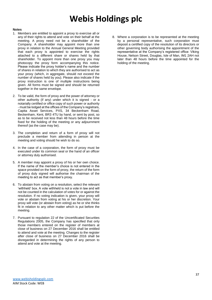#### **Notes**

- 1. Members are entitled to appoint a proxy to exercise all or any of their rights to attend and vote on their behalf at the meeting. A proxy need not be a shareholder of the Company. A shareholder may appoint more than one proxy in relation to the Annual General Meeting provided that each proxy is appointed to exercise the rights attached to a different share or shares held by that shareholder. To appoint more than one proxy you may photocopy the proxy form accompanying this notice. Please indicate the proxy holder's name and the number of shares in relation to which they are authorised to act as your proxy (which, in aggregate, should not exceed the number of shares held by you). Please also indicate if the proxy instruction is one of multiple instructions being given. All forms must be signed and should be returned together in the same envelope.
- 2. To be valid, the form of proxy and the power of attorney or other authority (if any) under which it is signed - or a notarially certified or office copy of such power or authority - must be lodged at the offices of the Company's registrars, Capita Asset Services, PXS, 34 Beckenham Road, Beckenham, Kent, BR3 4TU by hand, or sent by post, so as to be received not less than 48 hours before the time fixed for the holding of the meeting or any adjournment thereof (as the case may be).
- 3. The completion and return of a form of proxy will not preclude a member from attending in person at the meeting and voting should he wish to do so.
- 4. In the case of a corporation, the form of proxy must be executed under its common seal or the hand of an officer or attorney duly authorised.
- 5. A member may appoint a proxy of his or her own choice. If the name of the member's choice is not entered in the space provided on the form of proxy, the return of the form of proxy duly signed will authorise the chairman of the meeting to act as that member's proxy.
- 6. To abstain from voting on a resolution, select the relevant 'withheld' box. A vote withheld is not a vote in law and will not be counted in the calculation of votes for or against the resolution. If no voting indication is given, your proxy will vote or abstain from voting at his or her discretion. Your proxy will vote (or abstain from voting) as he or she thinks fit in relation to any other matter which is put before the meeting.
- 7. Pursuant to regulation 22 of the Uncertificated Securities Regulations 2005, the Company has specified that only those members entered on the register of members at close of business on 27 December 2016 shall be entitled to attend and vote at the meeting. Changes to the register after close of business on 27 December 2016 shall be disregarded in determining the rights of any person to attend and vote at the meeting.

8. Where a corporation is to be represented at the meeting by a personal representative, such corporation must deposit a certified copy of the resolution of its directors or other governing body authorising the appointment of the representative at the Company's registered office: Viking House, Nelson Street, Douglas, Isle of Man, IM1 2AH not later than 48 hours before the time appointed for the holding of the meeting.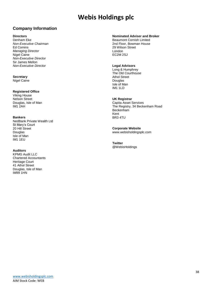## **Company Information**

#### **Directors**

Denham Eke *Non-Executive Chairman* Ed Comins *Managing Director* Nigel Caine *Non-Executive Director* Sir James Mellon *Non-Executive Director*

#### **Secretary**

Nigel Caine

#### **Registered Office**

Viking House Nelson Street Douglas, Isle of Man IM1 2AH

#### **Bankers**

NedBank Private Wealth Ltd St Mary's Court 20 Hill Street Douglas Isle of Man IM1 1EU

### **Auditors**

KPMG Audit LLC Chartered Accountants Heritage Court 41 Athol Street Douglas, Isle of Man IM99 1HN

#### **Nominated Adviser and Broker**

Beaumont Cornish Limited 2nd Floor, Bowman House 29 Wilson Street London EC2M 2SJ

#### **Legal Advisors**

Long & Humphrey The Old Courthouse Athol Street Douglas Isle of Man IM1 1LD

#### **UK Registrar**

Capita Asset Services The Registry, 34 Beckenham Road **Beckenham** Kent BR3 4TU

#### **Corporate Website** www.webisholdingsplc.com

**Twitter** @WebisHoldings